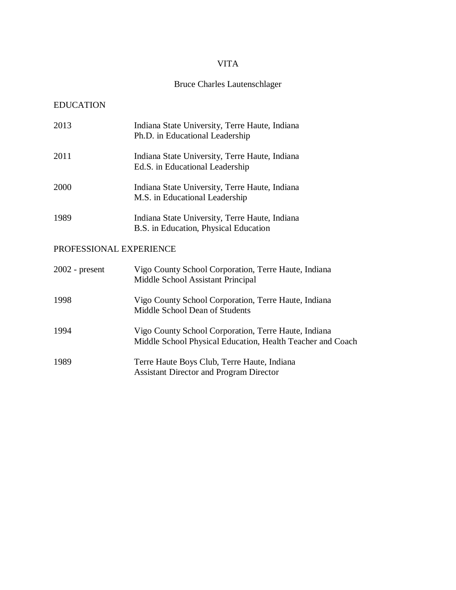# VITA

# Bruce Charles Lautenschlager

# EDUCATION

| 2013                    | Indiana State University, Terre Haute, Indiana<br>Ph.D. in Educational Leadership                                  |  |  |
|-------------------------|--------------------------------------------------------------------------------------------------------------------|--|--|
| 2011                    | Indiana State University, Terre Haute, Indiana<br>Ed.S. in Educational Leadership                                  |  |  |
| 2000                    | Indiana State University, Terre Haute, Indiana<br>M.S. in Educational Leadership                                   |  |  |
| 1989                    | Indiana State University, Terre Haute, Indiana<br>B.S. in Education, Physical Education                            |  |  |
| PROFESSIONAL EXPERIENCE |                                                                                                                    |  |  |
| $2002$ - present        | Vigo County School Corporation, Terre Haute, Indiana<br>Middle School Assistant Principal                          |  |  |
| 1998                    | Vigo County School Corporation, Terre Haute, Indiana<br>Middle School Dean of Students                             |  |  |
| 1994                    | Vigo County School Corporation, Terre Haute, Indiana<br>Middle School Physical Education, Health Teacher and Coach |  |  |
| 1989                    | Terre Haute Boys Club, Terre Haute, Indiana                                                                        |  |  |

Assistant Director and Program Director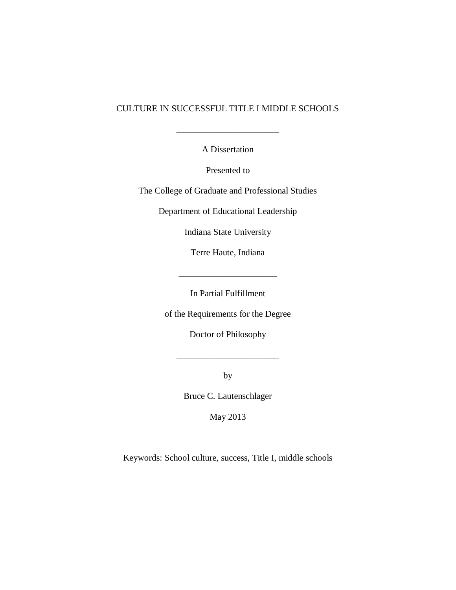# CULTURE IN SUCCESSFUL TITLE I MIDDLE SCHOOLS

A Dissertation

\_\_\_\_\_\_\_\_\_\_\_\_\_\_\_\_\_\_\_\_\_\_\_

Presented to

The College of Graduate and Professional Studies

Department of Educational Leadership

Indiana State University

Terre Haute, Indiana

\_\_\_\_\_\_\_\_\_\_\_\_\_\_\_\_\_\_\_\_\_\_

In Partial Fulfillment

of the Requirements for the Degree

Doctor of Philosophy

\_\_\_\_\_\_\_\_\_\_\_\_\_\_\_\_\_\_\_\_\_\_\_

by

Bruce C. Lautenschlager

May 2013

Keywords: School culture, success, Title I, middle schools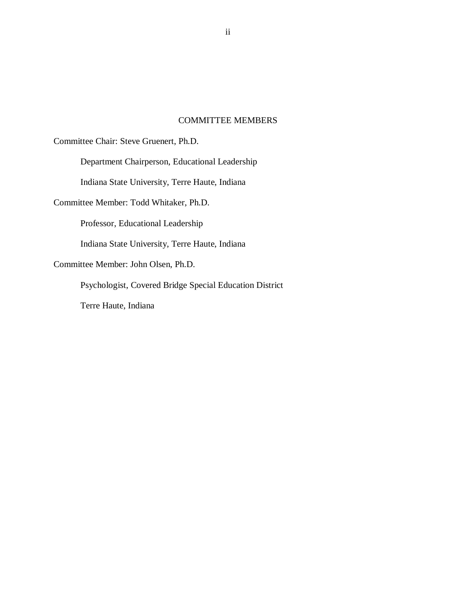# COMMITTEE MEMBERS

Committee Chair: Steve Gruenert, Ph.D.

Department Chairperson, Educational Leadership

Indiana State University, Terre Haute, Indiana

Committee Member: Todd Whitaker, Ph.D.

Professor, Educational Leadership

Indiana State University, Terre Haute, Indiana

Committee Member: John Olsen, Ph.D.

Psychologist, Covered Bridge Special Education District

Terre Haute, Indiana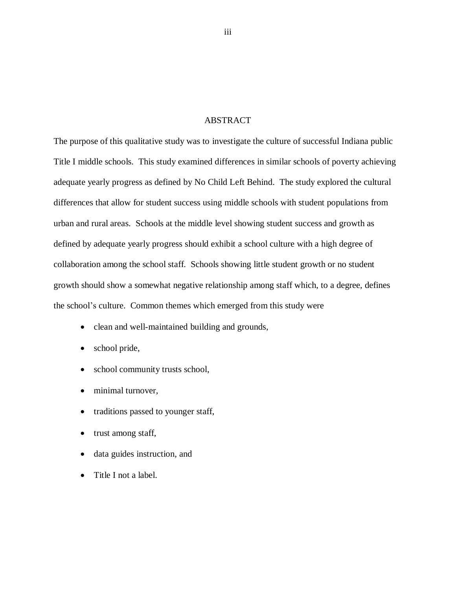# ABSTRACT

The purpose of this qualitative study was to investigate the culture of successful Indiana public Title I middle schools. This study examined differences in similar schools of poverty achieving adequate yearly progress as defined by No Child Left Behind. The study explored the cultural differences that allow for student success using middle schools with student populations from urban and rural areas. Schools at the middle level showing student success and growth as defined by adequate yearly progress should exhibit a school culture with a high degree of collaboration among the school staff. Schools showing little student growth or no student growth should show a somewhat negative relationship among staff which, to a degree, defines the school's culture. Common themes which emerged from this study were

- clean and well-maintained building and grounds,
- school pride,
- school community trusts school,
- minimal turnover,
- traditions passed to younger staff,
- trust among staff,
- data guides instruction, and
- Title I not a label.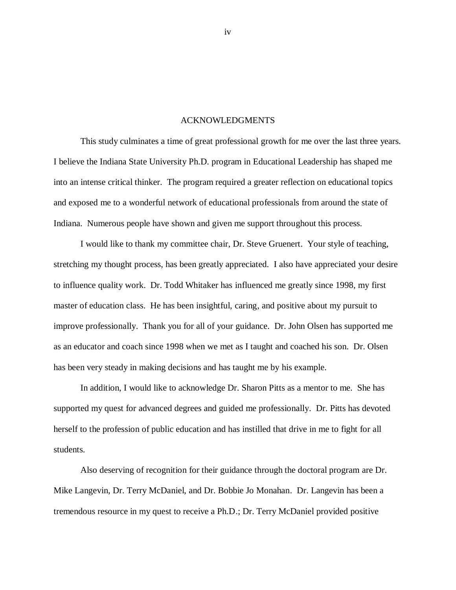## ACKNOWLEDGMENTS

This study culminates a time of great professional growth for me over the last three years. I believe the Indiana State University Ph.D. program in Educational Leadership has shaped me into an intense critical thinker. The program required a greater reflection on educational topics and exposed me to a wonderful network of educational professionals from around the state of Indiana. Numerous people have shown and given me support throughout this process.

I would like to thank my committee chair, Dr. Steve Gruenert. Your style of teaching, stretching my thought process, has been greatly appreciated. I also have appreciated your desire to influence quality work. Dr. Todd Whitaker has influenced me greatly since 1998, my first master of education class. He has been insightful, caring, and positive about my pursuit to improve professionally. Thank you for all of your guidance. Dr. John Olsen has supported me as an educator and coach since 1998 when we met as I taught and coached his son. Dr. Olsen has been very steady in making decisions and has taught me by his example.

In addition, I would like to acknowledge Dr. Sharon Pitts as a mentor to me. She has supported my quest for advanced degrees and guided me professionally. Dr. Pitts has devoted herself to the profession of public education and has instilled that drive in me to fight for all students.

Also deserving of recognition for their guidance through the doctoral program are Dr. Mike Langevin, Dr. Terry McDaniel, and Dr. Bobbie Jo Monahan. Dr. Langevin has been a tremendous resource in my quest to receive a Ph.D.; Dr. Terry McDaniel provided positive

iv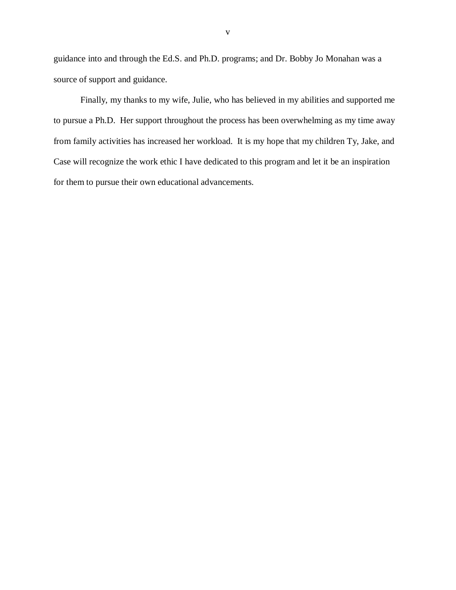guidance into and through the Ed.S. and Ph.D. programs; and Dr. Bobby Jo Monahan was a source of support and guidance.

Finally, my thanks to my wife, Julie, who has believed in my abilities and supported me to pursue a Ph.D. Her support throughout the process has been overwhelming as my time away from family activities has increased her workload. It is my hope that my children Ty, Jake, and Case will recognize the work ethic I have dedicated to this program and let it be an inspiration for them to pursue their own educational advancements.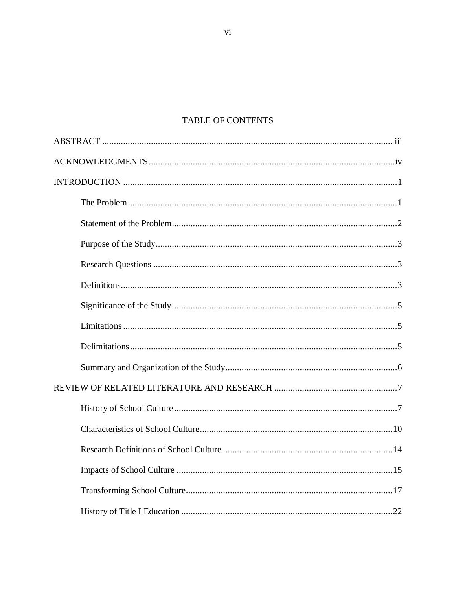# TABLE OF CONTENTS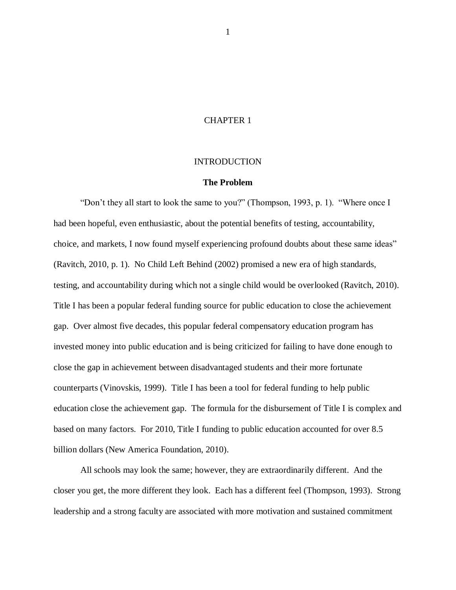# CHAPTER 1

## INTRODUCTION

#### **The Problem**

"Don't they all start to look the same to you?" (Thompson, 1993, p. 1). "Where once I had been hopeful, even enthusiastic, about the potential benefits of testing, accountability, choice, and markets, I now found myself experiencing profound doubts about these same ideas" (Ravitch, 2010, p. 1). No Child Left Behind (2002) promised a new era of high standards, testing, and accountability during which not a single child would be overlooked (Ravitch, 2010). Title I has been a popular federal funding source for public education to close the achievement gap. Over almost five decades, this popular federal compensatory education program has invested money into public education and is being criticized for failing to have done enough to close the gap in achievement between disadvantaged students and their more fortunate counterparts (Vinovskis, 1999). Title I has been a tool for federal funding to help public education close the achievement gap. The formula for the disbursement of Title I is complex and based on many factors. For 2010, Title I funding to public education accounted for over 8.5 billion dollars (New America Foundation, 2010).

All schools may look the same; however, they are extraordinarily different. And the closer you get, the more different they look. Each has a different feel (Thompson, 1993). Strong leadership and a strong faculty are associated with more motivation and sustained commitment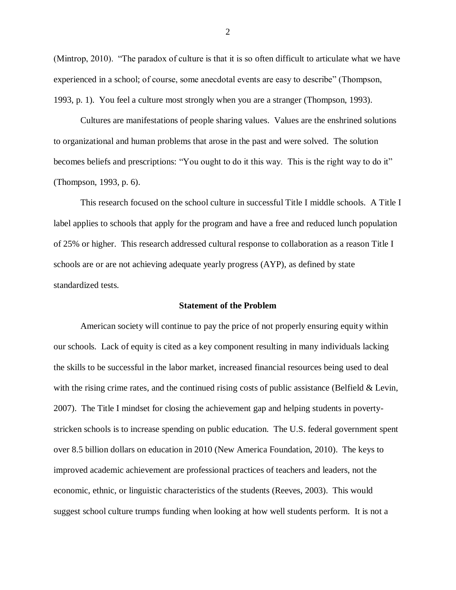(Mintrop, 2010). "The paradox of culture is that it is so often difficult to articulate what we have experienced in a school; of course, some anecdotal events are easy to describe" (Thompson, 1993, p. 1). You feel a culture most strongly when you are a stranger (Thompson, 1993).

Cultures are manifestations of people sharing values. Values are the enshrined solutions to organizational and human problems that arose in the past and were solved. The solution becomes beliefs and prescriptions: "You ought to do it this way. This is the right way to do it" (Thompson, 1993, p. 6).

This research focused on the school culture in successful Title I middle schools. A Title I label applies to schools that apply for the program and have a free and reduced lunch population of 25% or higher. This research addressed cultural response to collaboration as a reason Title I schools are or are not achieving adequate yearly progress (AYP), as defined by state standardized tests.

#### **Statement of the Problem**

American society will continue to pay the price of not properly ensuring equity within our schools. Lack of equity is cited as a key component resulting in many individuals lacking the skills to be successful in the labor market, increased financial resources being used to deal with the rising crime rates, and the continued rising costs of public assistance (Belfield & Levin, 2007). The Title I mindset for closing the achievement gap and helping students in povertystricken schools is to increase spending on public education. The U.S. federal government spent over 8.5 billion dollars on education in 2010 (New America Foundation, 2010). The keys to improved academic achievement are professional practices of teachers and leaders, not the economic, ethnic, or linguistic characteristics of the students (Reeves, 2003). This would suggest school culture trumps funding when looking at how well students perform. It is not a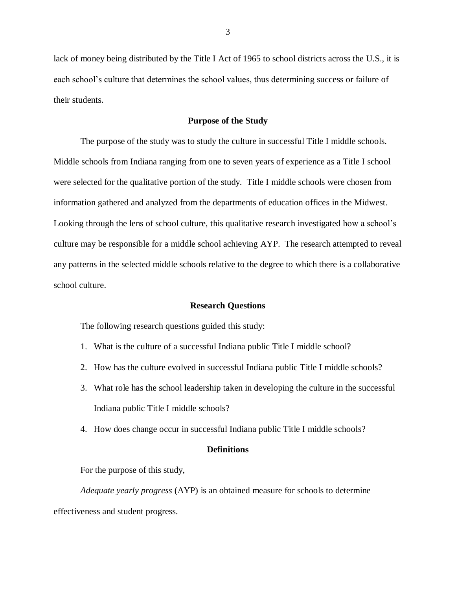lack of money being distributed by the Title I Act of 1965 to school districts across the U.S., it is each school's culture that determines the school values, thus determining success or failure of their students.

# **Purpose of the Study**

The purpose of the study was to study the culture in successful Title I middle schools. Middle schools from Indiana ranging from one to seven years of experience as a Title I school were selected for the qualitative portion of the study. Title I middle schools were chosen from information gathered and analyzed from the departments of education offices in the Midwest. Looking through the lens of school culture, this qualitative research investigated how a school's culture may be responsible for a middle school achieving AYP. The research attempted to reveal any patterns in the selected middle schools relative to the degree to which there is a collaborative school culture.

#### **Research Questions**

The following research questions guided this study:

- 1. What is the culture of a successful Indiana public Title I middle school?
- 2. How has the culture evolved in successful Indiana public Title I middle schools?
- 3. What role has the school leadership taken in developing the culture in the successful Indiana public Title I middle schools?
- 4. How does change occur in successful Indiana public Title I middle schools?

#### **Definitions**

For the purpose of this study,

*Adequate yearly progress* (AYP) is an obtained measure for schools to determine effectiveness and student progress.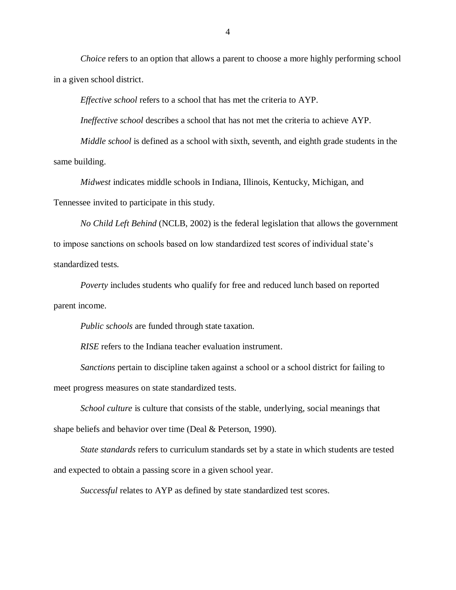*Choice* refers to an option that allows a parent to choose a more highly performing school in a given school district.

*Effective school* refers to a school that has met the criteria to AYP.

*Ineffective school* describes a school that has not met the criteria to achieve AYP.

*Middle school* is defined as a school with sixth, seventh, and eighth grade students in the same building.

*Midwest* indicates middle schools in Indiana, Illinois, Kentucky, Michigan, and Tennessee invited to participate in this study.

*No Child Left Behind* (NCLB, 2002) is the federal legislation that allows the government to impose sanctions on schools based on low standardized test scores of individual state's standardized tests.

*Poverty* includes students who qualify for free and reduced lunch based on reported parent income.

*Public schools* are funded through state taxation.

*RISE* refers to the Indiana teacher evaluation instrument.

*Sanctions* pertain to discipline taken against a school or a school district for failing to meet progress measures on state standardized tests.

*School culture* is culture that consists of the stable, underlying, social meanings that shape beliefs and behavior over time (Deal & Peterson, 1990).

*State standards* refers to curriculum standards set by a state in which students are tested and expected to obtain a passing score in a given school year.

*Successful* relates to AYP as defined by state standardized test scores.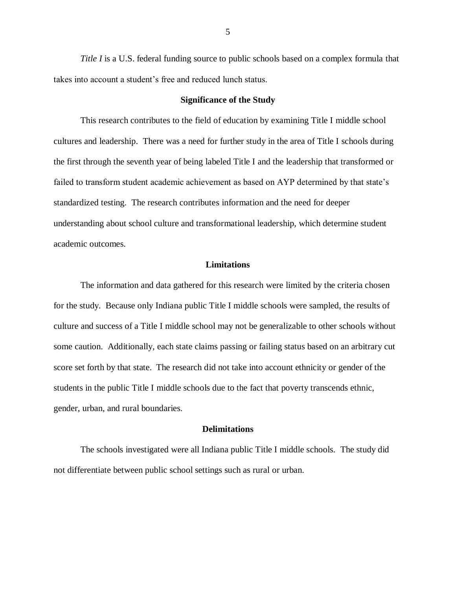*Title I* is a U.S. federal funding source to public schools based on a complex formula that takes into account a student's free and reduced lunch status.

# **Significance of the Study**

This research contributes to the field of education by examining Title I middle school cultures and leadership. There was a need for further study in the area of Title I schools during the first through the seventh year of being labeled Title I and the leadership that transformed or failed to transform student academic achievement as based on AYP determined by that state's standardized testing. The research contributes information and the need for deeper understanding about school culture and transformational leadership, which determine student academic outcomes.

#### **Limitations**

The information and data gathered for this research were limited by the criteria chosen for the study. Because only Indiana public Title I middle schools were sampled, the results of culture and success of a Title I middle school may not be generalizable to other schools without some caution. Additionally, each state claims passing or failing status based on an arbitrary cut score set forth by that state. The research did not take into account ethnicity or gender of the students in the public Title I middle schools due to the fact that poverty transcends ethnic, gender, urban, and rural boundaries.

## **Delimitations**

The schools investigated were all Indiana public Title I middle schools. The study did not differentiate between public school settings such as rural or urban.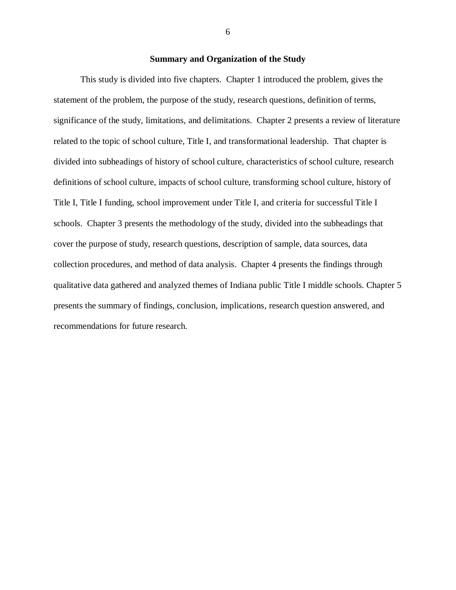# **Summary and Organization of the Study**

This study is divided into five chapters. Chapter 1 introduced the problem, gives the statement of the problem, the purpose of the study, research questions, definition of terms, significance of the study, limitations, and delimitations. Chapter 2 presents a review of literature related to the topic of school culture, Title I, and transformational leadership. That chapter is divided into subheadings of history of school culture, characteristics of school culture, research definitions of school culture, impacts of school culture, transforming school culture, history of Title I, Title I funding, school improvement under Title I, and criteria for successful Title I schools. Chapter 3 presents the methodology of the study, divided into the subheadings that cover the purpose of study, research questions, description of sample, data sources, data collection procedures, and method of data analysis. Chapter 4 presents the findings through qualitative data gathered and analyzed themes of Indiana public Title I middle schools. Chapter 5 presents the summary of findings, conclusion, implications, research question answered, and recommendations for future research.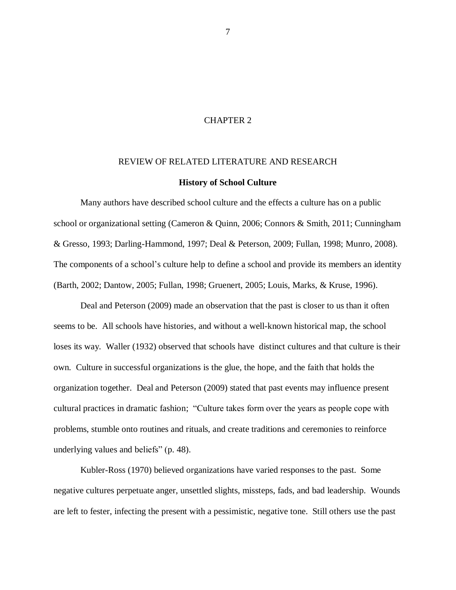# CHAPTER 2

#### REVIEW OF RELATED LITERATURE AND RESEARCH

#### **History of School Culture**

Many authors have described school culture and the effects a culture has on a public school or organizational setting (Cameron & Quinn, 2006; Connors & Smith, 2011; Cunningham & Gresso, 1993; Darling-Hammond, 1997; Deal & Peterson, 2009; Fullan, 1998; Munro, 2008). The components of a school's culture help to define a school and provide its members an identity (Barth, 2002; Dantow, 2005; Fullan, 1998; Gruenert, 2005; Louis, Marks, & Kruse, 1996).

Deal and Peterson (2009) made an observation that the past is closer to us than it often seems to be. All schools have histories, and without a well-known historical map, the school loses its way. Waller (1932) observed that schools have distinct cultures and that culture is their own. Culture in successful organizations is the glue, the hope, and the faith that holds the organization together. Deal and Peterson (2009) stated that past events may influence present cultural practices in dramatic fashion; "Culture takes form over the years as people cope with problems, stumble onto routines and rituals, and create traditions and ceremonies to reinforce underlying values and beliefs" (p. 48).

Kubler-Ross (1970) believed organizations have varied responses to the past. Some negative cultures perpetuate anger, unsettled slights, missteps, fads, and bad leadership. Wounds are left to fester, infecting the present with a pessimistic, negative tone. Still others use the past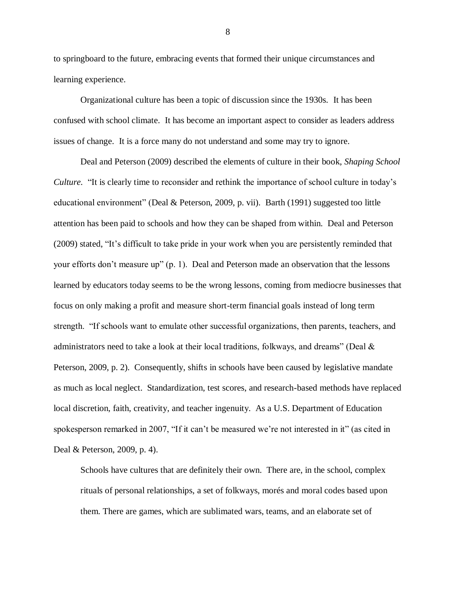to springboard to the future, embracing events that formed their unique circumstances and learning experience.

Organizational culture has been a topic of discussion since the 1930s. It has been confused with school climate. It has become an important aspect to consider as leaders address issues of change. It is a force many do not understand and some may try to ignore.

Deal and Peterson (2009) described the elements of culture in their book, *Shaping School Culture.* "It is clearly time to reconsider and rethink the importance of school culture in today's educational environment" (Deal & Peterson, 2009, p. vii). Barth (1991) suggested too little attention has been paid to schools and how they can be shaped from within. Deal and Peterson (2009) stated, "It's difficult to take pride in your work when you are persistently reminded that your efforts don't measure up" (p. 1). Deal and Peterson made an observation that the lessons learned by educators today seems to be the wrong lessons, coming from mediocre businesses that focus on only making a profit and measure short-term financial goals instead of long term strength. "If schools want to emulate other successful organizations, then parents, teachers, and administrators need to take a look at their local traditions, folkways, and dreams" (Deal  $\&$ Peterson, 2009, p. 2). Consequently, shifts in schools have been caused by legislative mandate as much as local neglect. Standardization, test scores, and research-based methods have replaced local discretion, faith, creativity, and teacher ingenuity. As a U.S. Department of Education spokesperson remarked in 2007, "If it can't be measured we're not interested in it" (as cited in Deal & Peterson, 2009, p. 4).

Schools have cultures that are definitely their own. There are, in the school, complex rituals of personal relationships, a set of folkways, morés and moral codes based upon them. There are games, which are sublimated wars, teams, and an elaborate set of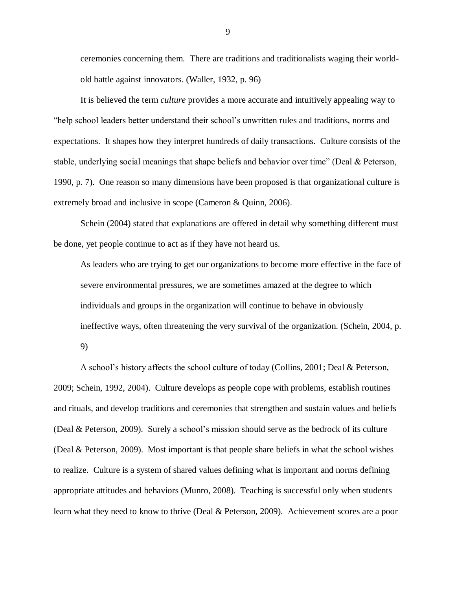ceremonies concerning them. There are traditions and traditionalists waging their worldold battle against innovators. (Waller, 1932, p. 96)

It is believed the term *culture* provides a more accurate and intuitively appealing way to "help school leaders better understand their school's unwritten rules and traditions, norms and expectations. It shapes how they interpret hundreds of daily transactions. Culture consists of the stable, underlying social meanings that shape beliefs and behavior over time" (Deal  $\&$  Peterson, 1990, p. 7). One reason so many dimensions have been proposed is that organizational culture is extremely broad and inclusive in scope (Cameron & Quinn, 2006).

Schein (2004) stated that explanations are offered in detail why something different must be done, yet people continue to act as if they have not heard us.

As leaders who are trying to get our organizations to become more effective in the face of severe environmental pressures, we are sometimes amazed at the degree to which individuals and groups in the organization will continue to behave in obviously ineffective ways, often threatening the very survival of the organization. (Schein, 2004, p.

9)

A school's history affects the school culture of today (Collins, 2001; Deal & Peterson, 2009; Schein, 1992, 2004). Culture develops as people cope with problems, establish routines and rituals, and develop traditions and ceremonies that strengthen and sustain values and beliefs (Deal & Peterson, 2009). Surely a school's mission should serve as the bedrock of its culture (Deal & Peterson, 2009). Most important is that people share beliefs in what the school wishes to realize. Culture is a system of shared values defining what is important and norms defining appropriate attitudes and behaviors (Munro, 2008). Teaching is successful only when students learn what they need to know to thrive (Deal & Peterson, 2009). Achievement scores are a poor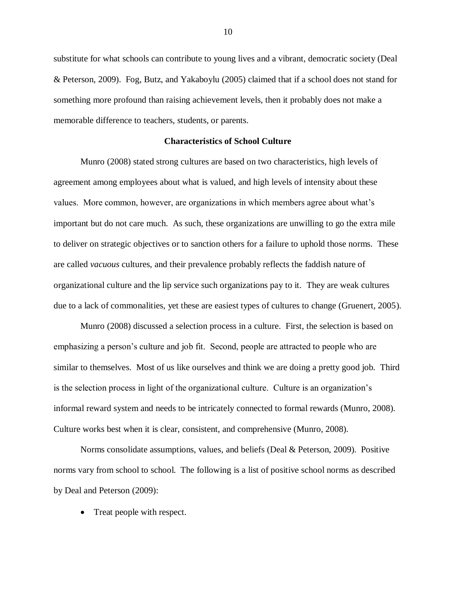substitute for what schools can contribute to young lives and a vibrant, democratic society (Deal & Peterson, 2009). Fog, Butz, and Yakaboylu (2005) claimed that if a school does not stand for something more profound than raising achievement levels, then it probably does not make a memorable difference to teachers, students, or parents.

#### **Characteristics of School Culture**

Munro (2008) stated strong cultures are based on two characteristics, high levels of agreement among employees about what is valued, and high levels of intensity about these values. More common, however, are organizations in which members agree about what's important but do not care much. As such, these organizations are unwilling to go the extra mile to deliver on strategic objectives or to sanction others for a failure to uphold those norms. These are called *vacuous* cultures, and their prevalence probably reflects the faddish nature of organizational culture and the lip service such organizations pay to it. They are weak cultures due to a lack of commonalities, yet these are easiest types of cultures to change (Gruenert, 2005).

Munro (2008) discussed a selection process in a culture. First, the selection is based on emphasizing a person's culture and job fit. Second, people are attracted to people who are similar to themselves. Most of us like ourselves and think we are doing a pretty good job. Third is the selection process in light of the organizational culture. Culture is an organization's informal reward system and needs to be intricately connected to formal rewards (Munro, 2008). Culture works best when it is clear, consistent, and comprehensive (Munro, 2008).

Norms consolidate assumptions, values, and beliefs (Deal & Peterson, 2009). Positive norms vary from school to school. The following is a list of positive school norms as described by Deal and Peterson (2009):

• Treat people with respect.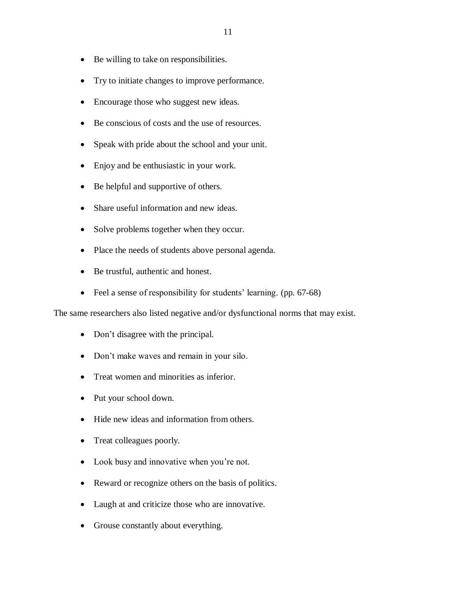- Be willing to take on responsibilities.
- Try to initiate changes to improve performance.
- Encourage those who suggest new ideas.
- Be conscious of costs and the use of resources.
- Speak with pride about the school and your unit.
- Enjoy and be enthusiastic in your work.
- Be helpful and supportive of others.
- Share useful information and new ideas.
- Solve problems together when they occur.
- Place the needs of students above personal agenda.
- Be trustful, authentic and honest.
- Feel a sense of responsibility for students' learning. (pp. 67-68)

The same researchers also listed negative and/or dysfunctional norms that may exist.

- Don't disagree with the principal.
- Don't make waves and remain in your silo.
- Treat women and minorities as inferior.
- Put your school down.
- Hide new ideas and information from others.
- Treat colleagues poorly.
- Look busy and innovative when you're not.
- Reward or recognize others on the basis of politics.
- Laugh at and criticize those who are innovative.
- Grouse constantly about everything.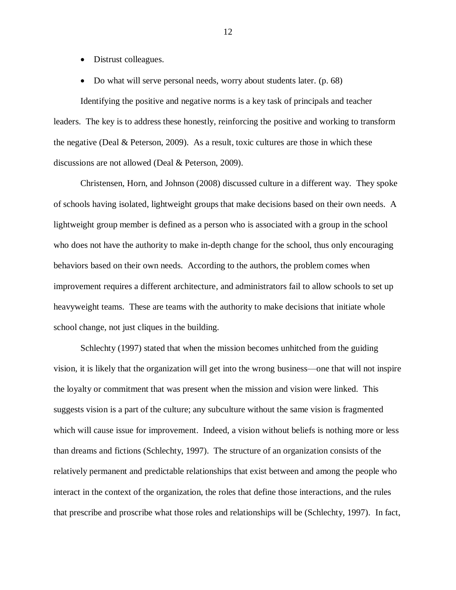- Distrust colleagues.
- Do what will serve personal needs, worry about students later. (p. 68)

Identifying the positive and negative norms is a key task of principals and teacher leaders. The key is to address these honestly, reinforcing the positive and working to transform the negative (Deal & Peterson, 2009). As a result, toxic cultures are those in which these discussions are not allowed (Deal & Peterson, 2009).

Christensen, Horn, and Johnson (2008) discussed culture in a different way. They spoke of schools having isolated, lightweight groups that make decisions based on their own needs. A lightweight group member is defined as a person who is associated with a group in the school who does not have the authority to make in-depth change for the school, thus only encouraging behaviors based on their own needs. According to the authors, the problem comes when improvement requires a different architecture, and administrators fail to allow schools to set up heavyweight teams. These are teams with the authority to make decisions that initiate whole school change, not just cliques in the building.

Schlechty (1997) stated that when the mission becomes unhitched from the guiding vision, it is likely that the organization will get into the wrong business—one that will not inspire the loyalty or commitment that was present when the mission and vision were linked. This suggests vision is a part of the culture; any subculture without the same vision is fragmented which will cause issue for improvement. Indeed, a vision without beliefs is nothing more or less than dreams and fictions (Schlechty, 1997). The structure of an organization consists of the relatively permanent and predictable relationships that exist between and among the people who interact in the context of the organization, the roles that define those interactions, and the rules that prescribe and proscribe what those roles and relationships will be (Schlechty, 1997). In fact,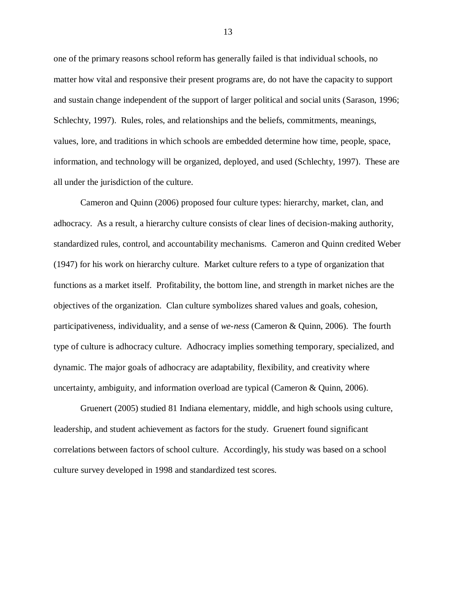one of the primary reasons school reform has generally failed is that individual schools, no matter how vital and responsive their present programs are, do not have the capacity to support and sustain change independent of the support of larger political and social units (Sarason, 1996; Schlechty, 1997). Rules, roles, and relationships and the beliefs, commitments, meanings, values, lore, and traditions in which schools are embedded determine how time, people, space, information, and technology will be organized, deployed, and used (Schlechty, 1997). These are all under the jurisdiction of the culture.

Cameron and Quinn (2006) proposed four culture types: hierarchy, market, clan, and adhocracy. As a result, a hierarchy culture consists of clear lines of decision-making authority, standardized rules, control, and accountability mechanisms. Cameron and Quinn credited Weber (1947) for his work on hierarchy culture. Market culture refers to a type of organization that functions as a market itself. Profitability, the bottom line, and strength in market niches are the objectives of the organization. Clan culture symbolizes shared values and goals, cohesion, participativeness, individuality, and a sense of *we-ness* (Cameron & Quinn, 2006). The fourth type of culture is adhocracy culture. Adhocracy implies something temporary, specialized, and dynamic. The major goals of adhocracy are adaptability, flexibility, and creativity where uncertainty, ambiguity, and information overload are typical (Cameron & Quinn, 2006).

Gruenert (2005) studied 81 Indiana elementary, middle, and high schools using culture, leadership, and student achievement as factors for the study. Gruenert found significant correlations between factors of school culture. Accordingly, his study was based on a school culture survey developed in 1998 and standardized test scores.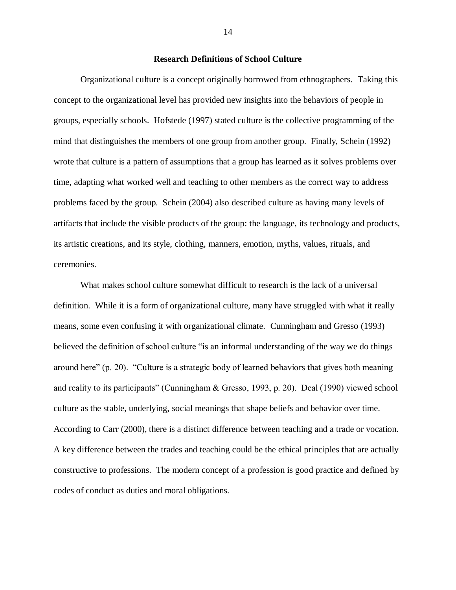## **Research Definitions of School Culture**

Organizational culture is a concept originally borrowed from ethnographers. Taking this concept to the organizational level has provided new insights into the behaviors of people in groups, especially schools. Hofstede (1997) stated culture is the collective programming of the mind that distinguishes the members of one group from another group. Finally, Schein (1992) wrote that culture is a pattern of assumptions that a group has learned as it solves problems over time, adapting what worked well and teaching to other members as the correct way to address problems faced by the group. Schein (2004) also described culture as having many levels of artifacts that include the visible products of the group: the language, its technology and products, its artistic creations, and its style, clothing, manners, emotion, myths, values, rituals, and ceremonies.

What makes school culture somewhat difficult to research is the lack of a universal definition. While it is a form of organizational culture, many have struggled with what it really means, some even confusing it with organizational climate. Cunningham and Gresso (1993) believed the definition of school culture "is an informal understanding of the way we do things around here" (p. 20). "Culture is a strategic body of learned behaviors that gives both meaning and reality to its participants" (Cunningham & Gresso, 1993, p. 20). Deal (1990) viewed school culture as the stable, underlying, social meanings that shape beliefs and behavior over time. According to Carr (2000), there is a distinct difference between teaching and a trade or vocation. A key difference between the trades and teaching could be the ethical principles that are actually constructive to professions. The modern concept of a profession is good practice and defined by codes of conduct as duties and moral obligations.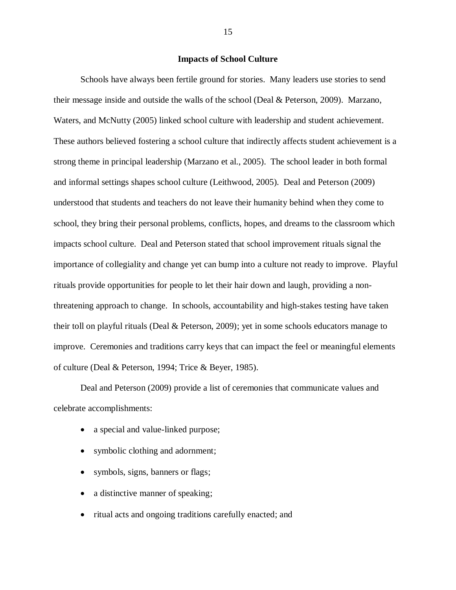# **Impacts of School Culture**

Schools have always been fertile ground for stories. Many leaders use stories to send their message inside and outside the walls of the school (Deal & Peterson, 2009). Marzano, Waters, and McNutty (2005) linked school culture with leadership and student achievement. These authors believed fostering a school culture that indirectly affects student achievement is a strong theme in principal leadership (Marzano et al., 2005). The school leader in both formal and informal settings shapes school culture (Leithwood, 2005). Deal and Peterson (2009) understood that students and teachers do not leave their humanity behind when they come to school, they bring their personal problems, conflicts, hopes, and dreams to the classroom which impacts school culture. Deal and Peterson stated that school improvement rituals signal the importance of collegiality and change yet can bump into a culture not ready to improve. Playful rituals provide opportunities for people to let their hair down and laugh, providing a nonthreatening approach to change. In schools, accountability and high-stakes testing have taken their toll on playful rituals (Deal & Peterson, 2009); yet in some schools educators manage to improve. Ceremonies and traditions carry keys that can impact the feel or meaningful elements of culture (Deal & Peterson, 1994; Trice & Beyer, 1985).

Deal and Peterson (2009) provide a list of ceremonies that communicate values and celebrate accomplishments:

- a special and value-linked purpose;
- symbolic clothing and adornment;
- symbols, signs, banners or flags;
- a distinctive manner of speaking;
- ritual acts and ongoing traditions carefully enacted; and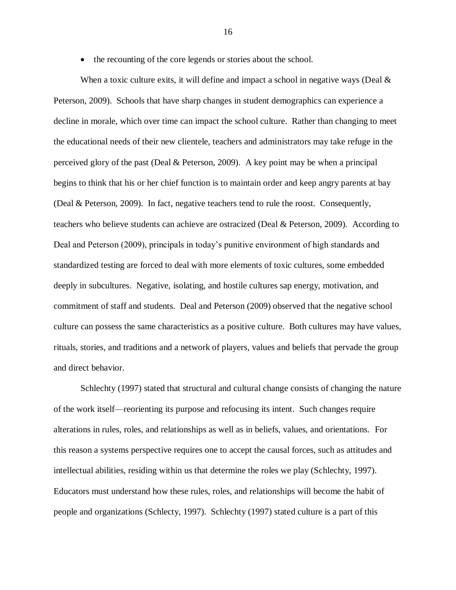• the recounting of the core legends or stories about the school.

When a toxic culture exits, it will define and impact a school in negative ways (Deal  $\&$ Peterson, 2009). Schools that have sharp changes in student demographics can experience a decline in morale, which over time can impact the school culture. Rather than changing to meet the educational needs of their new clientele, teachers and administrators may take refuge in the perceived glory of the past (Deal & Peterson, 2009). A key point may be when a principal begins to think that his or her chief function is to maintain order and keep angry parents at bay (Deal & Peterson, 2009). In fact, negative teachers tend to rule the roost. Consequently, teachers who believe students can achieve are ostracized (Deal & Peterson, 2009). According to Deal and Peterson (2009), principals in today's punitive environment of high standards and standardized testing are forced to deal with more elements of toxic cultures, some embedded deeply in subcultures. Negative, isolating, and hostile cultures sap energy, motivation, and commitment of staff and students. Deal and Peterson (2009) observed that the negative school culture can possess the same characteristics as a positive culture. Both cultures may have values, rituals, stories, and traditions and a network of players, values and beliefs that pervade the group and direct behavior.

Schlechty (1997) stated that structural and cultural change consists of changing the nature of the work itself—reorienting its purpose and refocusing its intent. Such changes require alterations in rules, roles, and relationships as well as in beliefs, values, and orientations. For this reason a systems perspective requires one to accept the causal forces, such as attitudes and intellectual abilities, residing within us that determine the roles we play (Schlechty, 1997). Educators must understand how these rules, roles, and relationships will become the habit of people and organizations (Schlecty, 1997). Schlechty (1997) stated culture is a part of this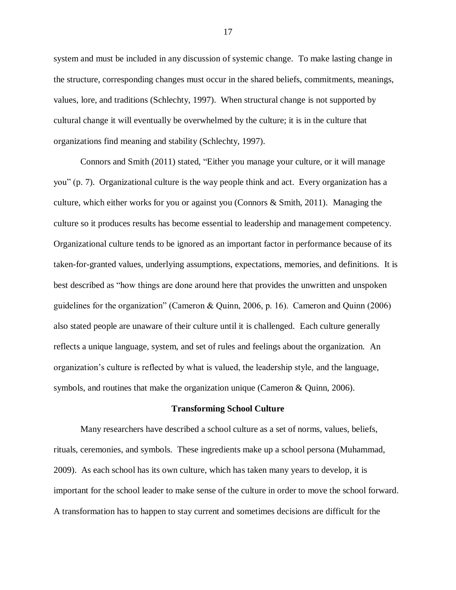system and must be included in any discussion of systemic change. To make lasting change in the structure, corresponding changes must occur in the shared beliefs, commitments, meanings, values, lore, and traditions (Schlechty, 1997). When structural change is not supported by cultural change it will eventually be overwhelmed by the culture; it is in the culture that organizations find meaning and stability (Schlechty, 1997).

Connors and Smith (2011) stated, "Either you manage your culture, or it will manage you" (p. 7). Organizational culture is the way people think and act. Every organization has a culture, which either works for you or against you (Connors  $\&$  Smith, 2011). Managing the culture so it produces results has become essential to leadership and management competency. Organizational culture tends to be ignored as an important factor in performance because of its taken-for-granted values, underlying assumptions, expectations, memories, and definitions. It is best described as "how things are done around here that provides the unwritten and unspoken guidelines for the organization" (Cameron & Quinn, 2006, p. 16). Cameron and Quinn (2006) also stated people are unaware of their culture until it is challenged. Each culture generally reflects a unique language, system, and set of rules and feelings about the organization. An organization's culture is reflected by what is valued, the leadership style, and the language, symbols, and routines that make the organization unique (Cameron & Quinn, 2006).

#### **Transforming School Culture**

Many researchers have described a school culture as a set of norms, values, beliefs, rituals, ceremonies, and symbols. These ingredients make up a school persona (Muhammad, 2009). As each school has its own culture, which has taken many years to develop, it is important for the school leader to make sense of the culture in order to move the school forward. A transformation has to happen to stay current and sometimes decisions are difficult for the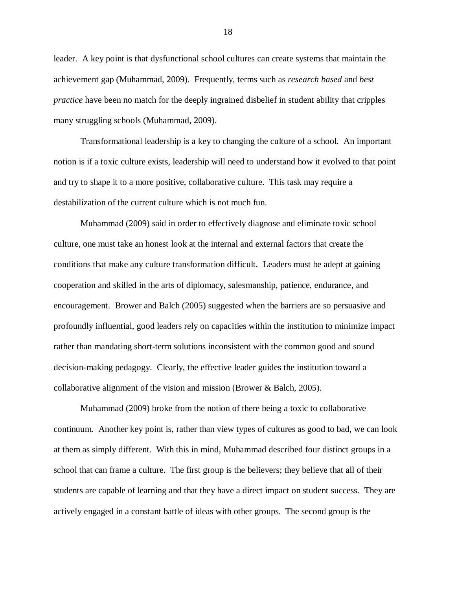leader. A key point is that dysfunctional school cultures can create systems that maintain the achievement gap (Muhammad, 2009). Frequently, terms such as *research based* and *best practice* have been no match for the deeply ingrained disbelief in student ability that cripples many struggling schools (Muhammad, 2009).

Transformational leadership is a key to changing the culture of a school. An important notion is if a toxic culture exists, leadership will need to understand how it evolved to that point and try to shape it to a more positive, collaborative culture. This task may require a destabilization of the current culture which is not much fun.

Muhammad (2009) said in order to effectively diagnose and eliminate toxic school culture, one must take an honest look at the internal and external factors that create the conditions that make any culture transformation difficult. Leaders must be adept at gaining cooperation and skilled in the arts of diplomacy, salesmanship, patience, endurance, and encouragement. Brower and Balch (2005) suggested when the barriers are so persuasive and profoundly influential, good leaders rely on capacities within the institution to minimize impact rather than mandating short-term solutions inconsistent with the common good and sound decision-making pedagogy. Clearly, the effective leader guides the institution toward a collaborative alignment of the vision and mission (Brower & Balch, 2005).

Muhammad (2009) broke from the notion of there being a toxic to collaborative continuum. Another key point is, rather than view types of cultures as good to bad, we can look at them as simply different. With this in mind, Muhammad described four distinct groups in a school that can frame a culture. The first group is the believers; they believe that all of their students are capable of learning and that they have a direct impact on student success. They are actively engaged in a constant battle of ideas with other groups. The second group is the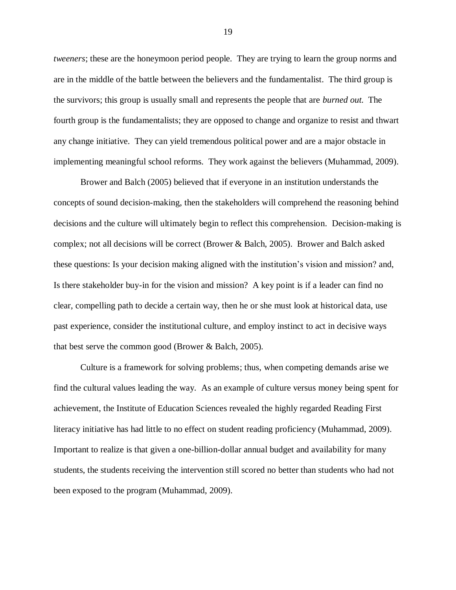*tweeners*; these are the honeymoon period people. They are trying to learn the group norms and are in the middle of the battle between the believers and the fundamentalist. The third group is the survivors; this group is usually small and represents the people that are *burned out*. The fourth group is the fundamentalists; they are opposed to change and organize to resist and thwart any change initiative. They can yield tremendous political power and are a major obstacle in implementing meaningful school reforms. They work against the believers (Muhammad, 2009).

Brower and Balch (2005) believed that if everyone in an institution understands the concepts of sound decision-making, then the stakeholders will comprehend the reasoning behind decisions and the culture will ultimately begin to reflect this comprehension. Decision-making is complex; not all decisions will be correct (Brower & Balch, 2005). Brower and Balch asked these questions: Is your decision making aligned with the institution's vision and mission? and, Is there stakeholder buy-in for the vision and mission? A key point is if a leader can find no clear, compelling path to decide a certain way, then he or she must look at historical data, use past experience, consider the institutional culture, and employ instinct to act in decisive ways that best serve the common good (Brower & Balch, 2005).

Culture is a framework for solving problems; thus, when competing demands arise we find the cultural values leading the way. As an example of culture versus money being spent for achievement, the Institute of Education Sciences revealed the highly regarded Reading First literacy initiative has had little to no effect on student reading proficiency (Muhammad, 2009). Important to realize is that given a one-billion-dollar annual budget and availability for many students, the students receiving the intervention still scored no better than students who had not been exposed to the program (Muhammad, 2009).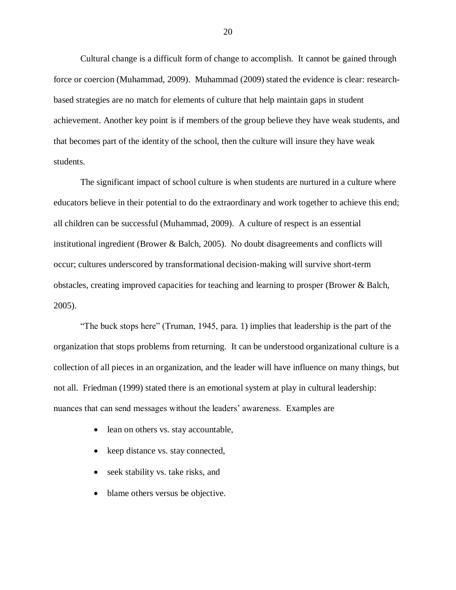Cultural change is a difficult form of change to accomplish. It cannot be gained through force or coercion (Muhammad, 2009). Muhammad (2009) stated the evidence is clear: researchbased strategies are no match for elements of culture that help maintain gaps in student achievement. Another key point is if members of the group believe they have weak students, and that becomes part of the identity of the school, then the culture will insure they have weak students.

The significant impact of school culture is when students are nurtured in a culture where educators believe in their potential to do the extraordinary and work together to achieve this end; all children can be successful (Muhammad, 2009). A culture of respect is an essential institutional ingredient (Brower & Balch, 2005). No doubt disagreements and conflicts will occur; cultures underscored by transformational decision-making will survive short-term obstacles, creating improved capacities for teaching and learning to prosper (Brower & Balch, 2005).

"The buck stops here" (Truman, 1945, para. 1) implies that leadership is the part of the organization that stops problems from returning. It can be understood organizational culture is a collection of all pieces in an organization, and the leader will have influence on many things, but not all. Friedman (1999) stated there is an emotional system at play in cultural leadership: nuances that can send messages without the leaders' awareness. Examples are

- lean on others vs. stay accountable,
- keep distance vs. stay connected,
- seek stability vs. take risks, and
- blame others versus be objective.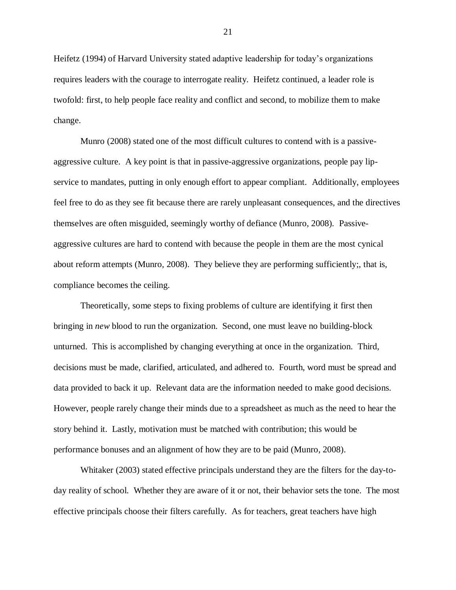Heifetz (1994) of Harvard University stated adaptive leadership for today's organizations requires leaders with the courage to interrogate reality. Heifetz continued, a leader role is twofold: first, to help people face reality and conflict and second, to mobilize them to make change.

Munro (2008) stated one of the most difficult cultures to contend with is a passiveaggressive culture. A key point is that in passive-aggressive organizations, people pay lipservice to mandates, putting in only enough effort to appear compliant. Additionally, employees feel free to do as they see fit because there are rarely unpleasant consequences, and the directives themselves are often misguided, seemingly worthy of defiance (Munro, 2008). Passiveaggressive cultures are hard to contend with because the people in them are the most cynical about reform attempts (Munro, 2008). They believe they are performing sufficiently;, that is, compliance becomes the ceiling.

Theoretically, some steps to fixing problems of culture are identifying it first then bringing in *new* blood to run the organization. Second, one must leave no building-block unturned. This is accomplished by changing everything at once in the organization. Third, decisions must be made, clarified, articulated, and adhered to. Fourth, word must be spread and data provided to back it up. Relevant data are the information needed to make good decisions. However, people rarely change their minds due to a spreadsheet as much as the need to hear the story behind it. Lastly, motivation must be matched with contribution; this would be performance bonuses and an alignment of how they are to be paid (Munro, 2008).

Whitaker (2003) stated effective principals understand they are the filters for the day-today reality of school. Whether they are aware of it or not, their behavior sets the tone. The most effective principals choose their filters carefully. As for teachers, great teachers have high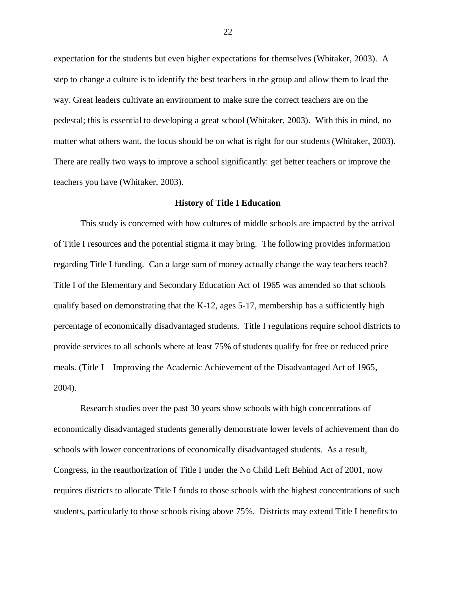expectation for the students but even higher expectations for themselves (Whitaker, 2003). A step to change a culture is to identify the best teachers in the group and allow them to lead the way. Great leaders cultivate an environment to make sure the correct teachers are on the pedestal; this is essential to developing a great school (Whitaker, 2003). With this in mind, no matter what others want, the focus should be on what is right for our students (Whitaker, 2003). There are really two ways to improve a school significantly: get better teachers or improve the teachers you have (Whitaker, 2003).

#### **History of Title I Education**

This study is concerned with how cultures of middle schools are impacted by the arrival of Title I resources and the potential stigma it may bring. The following provides information regarding Title I funding. Can a large sum of money actually change the way teachers teach? Title I of the Elementary and Secondary Education Act of 1965 was amended so that schools qualify based on demonstrating that the K-12, ages 5-17, membership has a sufficiently high percentage of economically disadvantaged students. Title I regulations require school districts to provide services to all schools where at least 75% of students qualify for free or reduced price meals. (Title I—Improving the Academic Achievement of the Disadvantaged Act of 1965, 2004).

Research studies over the past 30 years show schools with high concentrations of economically disadvantaged students generally demonstrate lower levels of achievement than do schools with lower concentrations of economically disadvantaged students. As a result, Congress, in the reauthorization of Title I under the No Child Left Behind Act of 2001, now requires districts to allocate Title I funds to those schools with the highest concentrations of such students, particularly to those schools rising above 75%. Districts may extend Title I benefits to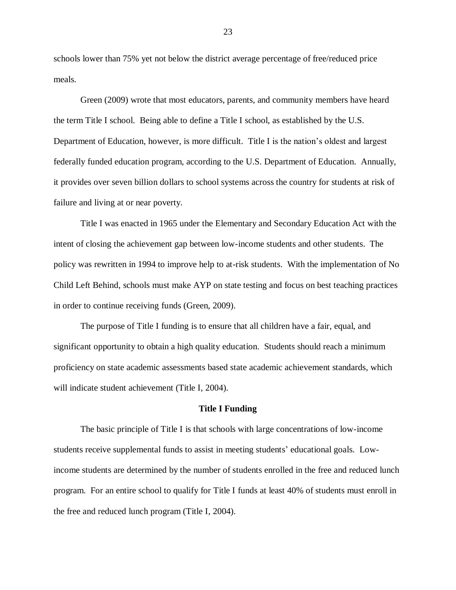schools lower than 75% yet not below the district average percentage of free/reduced price meals.

Green (2009) wrote that most educators, parents, and community members have heard the term Title I school. Being able to define a Title I school, as established by the U.S. Department of Education, however, is more difficult. Title I is the nation's oldest and largest federally funded education program, according to the U.S. Department of Education. Annually, it provides over seven billion dollars to school systems across the country for students at risk of failure and living at or near poverty.

Title I was enacted in 1965 under the Elementary and Secondary Education Act with the intent of closing the achievement gap between low-income students and other students. The policy was rewritten in 1994 to improve help to at-risk students. With the implementation of No Child Left Behind, schools must make AYP on state testing and focus on best teaching practices in order to continue receiving funds (Green, 2009).

The purpose of Title I funding is to ensure that all children have a fair, equal, and significant opportunity to obtain a high quality education. Students should reach a minimum proficiency on state academic assessments based state academic achievement standards, which will indicate student achievement (Title I, 2004).

#### **Title I Funding**

The basic principle of Title I is that schools with large concentrations of low-income students receive supplemental funds to assist in meeting students' educational goals. Lowincome students are determined by the number of students enrolled in the free and reduced lunch program. For an entire school to qualify for Title I funds at least 40% of students must enroll in the free and reduced lunch program (Title I, 2004).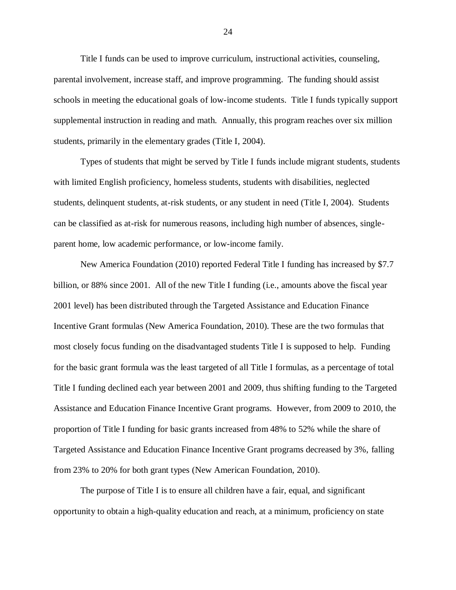Title I funds can be used to improve curriculum, instructional activities, counseling, parental involvement, increase staff, and improve programming. The funding should assist schools in meeting the educational goals of low-income students. Title I funds typically support supplemental instruction in reading and math. Annually, this program reaches over six million students, primarily in the elementary grades (Title I, 2004).

Types of students that might be served by Title I funds include migrant students, students with limited English proficiency, homeless students, students with disabilities, neglected students, delinquent students, at-risk students, or any student in need (Title I, 2004). Students can be classified as at-risk for numerous reasons, including high number of absences, singleparent home, low academic performance, or low-income family.

New America Foundation (2010) reported Federal Title I funding has increased by \$7.7 billion, or 88% since 2001. All of the new Title I funding (i.e., amounts above the fiscal year 2001 level) has been distributed through the Targeted Assistance and Education Finance Incentive Grant formulas (New America Foundation, 2010). These are the two formulas that most closely focus funding on the disadvantaged students Title I is supposed to help. Funding for the basic grant formula was the least targeted of all Title I formulas, as a percentage of total Title I funding declined each year between 2001 and 2009, thus shifting funding to the Targeted Assistance and Education Finance Incentive Grant programs. However, from 2009 to 2010, the proportion of Title I funding for basic grants increased from 48% to 52% while the share of Targeted Assistance and Education Finance Incentive Grant programs decreased by 3%, falling from 23% to 20% for both grant types (New American Foundation, 2010).

The purpose of Title I is to ensure all children have a fair, equal, and significant opportunity to obtain a high-quality education and reach, at a minimum, proficiency on state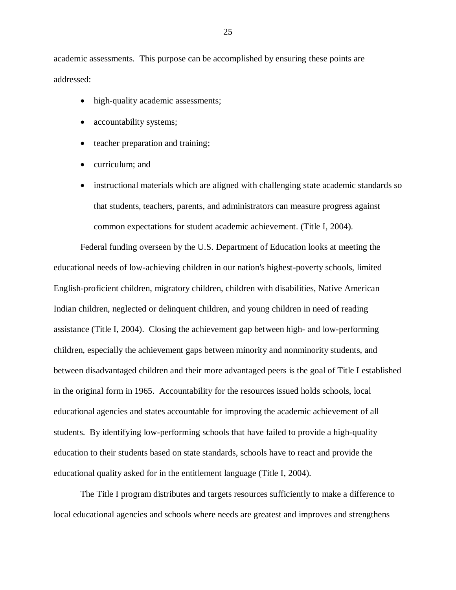academic assessments. This purpose can be accomplished by ensuring these points are addressed:

- high-quality academic assessments;
- accountability systems;
- teacher preparation and training;
- curriculum; and
- instructional materials which are aligned with challenging state academic standards so that students, teachers, parents, and administrators can measure progress against common expectations for student academic achievement. (Title I, 2004).

Federal funding overseen by the U.S. Department of Education looks at meeting the educational needs of low-achieving children in our nation's highest-poverty schools, limited English-proficient children, migratory children, children with disabilities, Native American Indian children, neglected or delinquent children, and young children in need of reading assistance (Title I, 2004). Closing the achievement gap between high- and low-performing children, especially the achievement gaps between minority and nonminority students, and between disadvantaged children and their more advantaged peers is the goal of Title I established in the original form in 1965. Accountability for the resources issued holds schools, local educational agencies and states accountable for improving the academic achievement of all students. By identifying low-performing schools that have failed to provide a high-quality education to their students based on state standards, schools have to react and provide the educational quality asked for in the entitlement language (Title I, 2004).

The Title I program distributes and targets resources sufficiently to make a difference to local educational agencies and schools where needs are greatest and improves and strengthens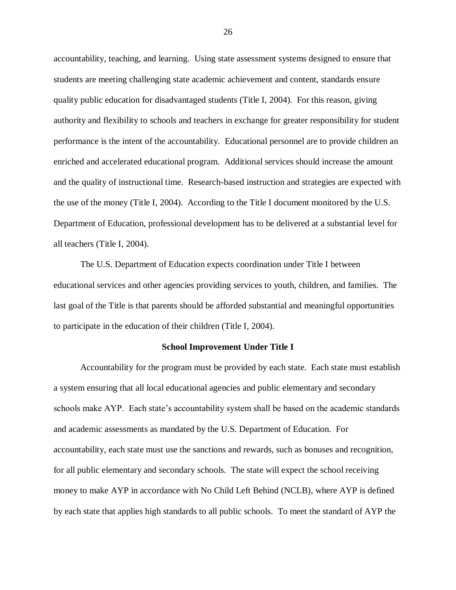accountability, teaching, and learning. Using state assessment systems designed to ensure that students are meeting challenging state academic achievement and content, standards ensure quality public education for disadvantaged students (Title I, 2004). For this reason, giving authority and flexibility to schools and teachers in exchange for greater responsibility for student performance is the intent of the accountability. Educational personnel are to provide children an enriched and accelerated educational program. Additional services should increase the amount and the quality of instructional time. Research-based instruction and strategies are expected with the use of the money (Title I, 2004). According to the Title I document monitored by the U.S. Department of Education, professional development has to be delivered at a substantial level for all teachers (Title I, 2004).

The U.S. Department of Education expects coordination under Title I between educational services and other agencies providing services to youth, children, and families. The last goal of the Title is that parents should be afforded substantial and meaningful opportunities to participate in the education of their children (Title I, 2004).

#### **School Improvement Under Title I**

Accountability for the program must be provided by each state. Each state must establish a system ensuring that all local educational agencies and public elementary and secondary schools make AYP. Each state's accountability system shall be based on the academic standards and academic assessments as mandated by the U.S. Department of Education. For accountability, each state must use the sanctions and rewards, such as bonuses and recognition, for all public elementary and secondary schools. The state will expect the school receiving money to make AYP in accordance with No Child Left Behind (NCLB), where AYP is defined by each state that applies high standards to all public schools. To meet the standard of AYP the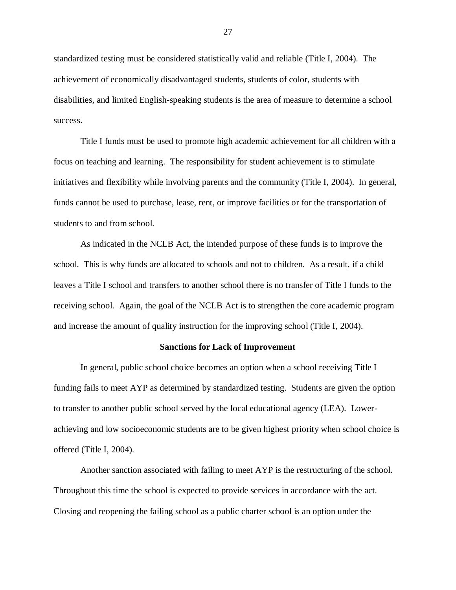standardized testing must be considered statistically valid and reliable (Title I, 2004). The achievement of economically disadvantaged students, students of color, students with disabilities, and limited English-speaking students is the area of measure to determine a school success.

Title I funds must be used to promote high academic achievement for all children with a focus on teaching and learning. The responsibility for student achievement is to stimulate initiatives and flexibility while involving parents and the community (Title I, 2004).In general, funds cannot be used to purchase, lease, rent, or improve facilities or for the transportation of students to and from school.

As indicated in the NCLB Act, the intended purpose of these funds is to improve the school. This is why funds are allocated to schools and not to children. As a result, if a child leaves a Title I school and transfers to another school there is no transfer of Title I funds to the receiving school. Again, the goal of the NCLB Act is to strengthen the core academic program and increase the amount of quality instruction for the improving school (Title I, 2004).

#### **Sanctions for Lack of Improvement**

In general, public school choice becomes an option when a school receiving Title I funding fails to meet AYP as determined by standardized testing. Students are given the option to transfer to another public school served by the local educational agency (LEA). Lowerachieving and low socioeconomic students are to be given highest priority when school choice is offered (Title I, 2004).

Another sanction associated with failing to meet AYP is the restructuring of the school. Throughout this time the school is expected to provide services in accordance with the act. Closing and reopening the failing school as a public charter school is an option under the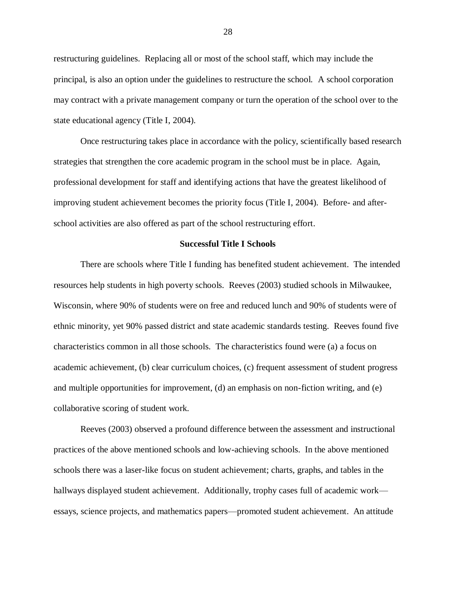restructuring guidelines. Replacing all or most of the school staff, which may include the principal, is also an option under the guidelines to restructure the school. A school corporation may contract with a private management company or turn the operation of the school over to the state educational agency (Title I, 2004).

Once restructuring takes place in accordance with the policy, scientifically based research strategies that strengthen the core academic program in the school must be in place. Again, professional development for staff and identifying actions that have the greatest likelihood of improving student achievement becomes the priority focus (Title I, 2004). Before- and afterschool activities are also offered as part of the school restructuring effort.

## **Successful Title I Schools**

There are schools where Title I funding has benefited student achievement. The intended resources help students in high poverty schools. Reeves (2003) studied schools in Milwaukee, Wisconsin, where 90% of students were on free and reduced lunch and 90% of students were of ethnic minority, yet 90% passed district and state academic standards testing. Reeves found five characteristics common in all those schools. The characteristics found were (a) a focus on academic achievement, (b) clear curriculum choices, (c) frequent assessment of student progress and multiple opportunities for improvement, (d) an emphasis on non-fiction writing, and (e) collaborative scoring of student work.

Reeves (2003) observed a profound difference between the assessment and instructional practices of the above mentioned schools and low-achieving schools. In the above mentioned schools there was a laser-like focus on student achievement; charts, graphs, and tables in the hallways displayed student achievement. Additionally, trophy cases full of academic work essays, science projects, and mathematics papers—promoted student achievement. An attitude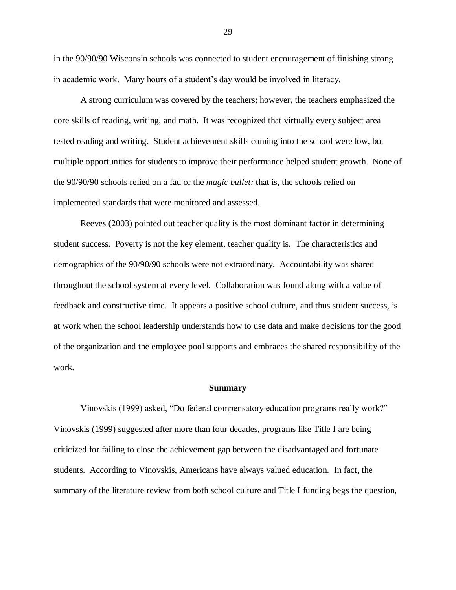in the 90/90/90 Wisconsin schools was connected to student encouragement of finishing strong in academic work. Many hours of a student's day would be involved in literacy.

A strong curriculum was covered by the teachers; however, the teachers emphasized the core skills of reading, writing, and math. It was recognized that virtually every subject area tested reading and writing. Student achievement skills coming into the school were low, but multiple opportunities for students to improve their performance helped student growth. None of the 90/90/90 schools relied on a fad or the *magic bullet;* that is, the schools relied on implemented standards that were monitored and assessed.

Reeves (2003) pointed out teacher quality is the most dominant factor in determining student success. Poverty is not the key element, teacher quality is. The characteristics and demographics of the 90/90/90 schools were not extraordinary. Accountability was shared throughout the school system at every level. Collaboration was found along with a value of feedback and constructive time. It appears a positive school culture, and thus student success, is at work when the school leadership understands how to use data and make decisions for the good of the organization and the employee pool supports and embraces the shared responsibility of the work.

#### **Summary**

Vinovskis (1999) asked, "Do federal compensatory education programs really work?" Vinovskis (1999) suggested after more than four decades, programs like Title I are being criticized for failing to close the achievement gap between the disadvantaged and fortunate students. According to Vinovskis, Americans have always valued education. In fact, the summary of the literature review from both school culture and Title I funding begs the question,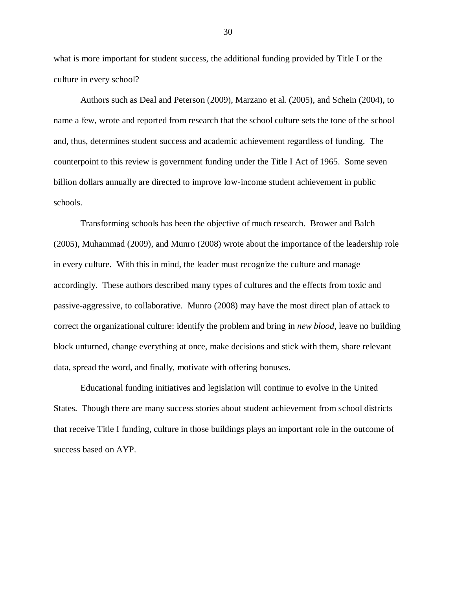what is more important for student success, the additional funding provided by Title I or the culture in every school?

Authors such as Deal and Peterson (2009), Marzano et al. (2005), and Schein (2004), to name a few, wrote and reported from research that the school culture sets the tone of the school and, thus, determines student success and academic achievement regardless of funding. The counterpoint to this review is government funding under the Title I Act of 1965. Some seven billion dollars annually are directed to improve low-income student achievement in public schools.

Transforming schools has been the objective of much research. Brower and Balch (2005), Muhammad (2009), and Munro (2008) wrote about the importance of the leadership role in every culture. With this in mind, the leader must recognize the culture and manage accordingly. These authors described many types of cultures and the effects from toxic and passive-aggressive, to collaborative. Munro (2008) may have the most direct plan of attack to correct the organizational culture: identify the problem and bring in *new blood*, leave no building block unturned, change everything at once, make decisions and stick with them, share relevant data, spread the word, and finally, motivate with offering bonuses.

Educational funding initiatives and legislation will continue to evolve in the United States. Though there are many success stories about student achievement from school districts that receive Title I funding, culture in those buildings plays an important role in the outcome of success based on AYP.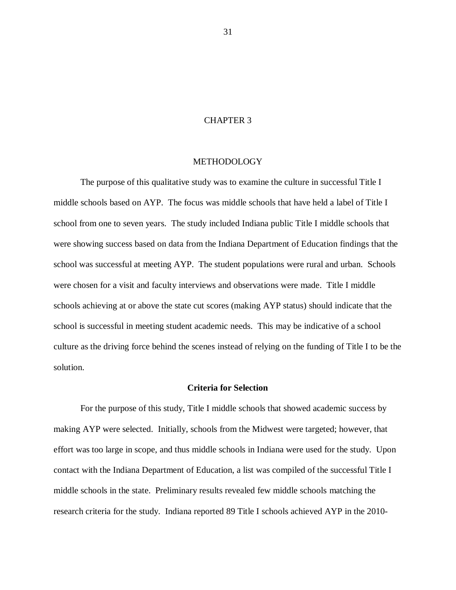## CHAPTER 3

## METHODOLOGY

The purpose of this qualitative study was to examine the culture in successful Title I middle schools based on AYP. The focus was middle schools that have held a label of Title I school from one to seven years. The study included Indiana public Title I middle schools that were showing success based on data from the Indiana Department of Education findings that the school was successful at meeting AYP. The student populations were rural and urban. Schools were chosen for a visit and faculty interviews and observations were made. Title I middle schools achieving at or above the state cut scores (making AYP status) should indicate that the school is successful in meeting student academic needs. This may be indicative of a school culture as the driving force behind the scenes instead of relying on the funding of Title I to be the solution.

### **Criteria for Selection**

For the purpose of this study, Title I middle schools that showed academic success by making AYP were selected. Initially, schools from the Midwest were targeted; however, that effort was too large in scope, and thus middle schools in Indiana were used for the study. Upon contact with the Indiana Department of Education, a list was compiled of the successful Title I middle schools in the state. Preliminary results revealed few middle schools matching the research criteria for the study. Indiana reported 89 Title I schools achieved AYP in the 2010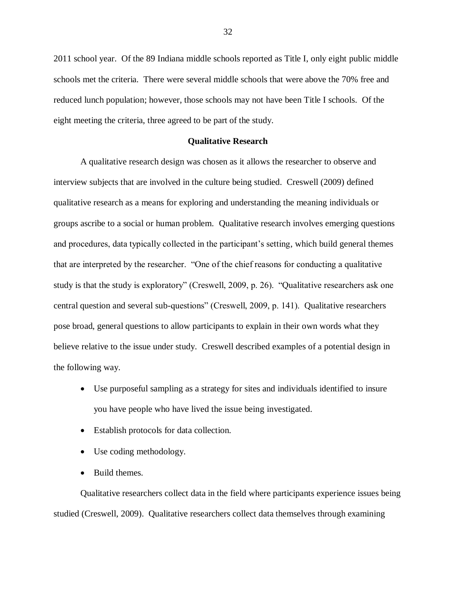2011 school year. Of the 89 Indiana middle schools reported as Title I, only eight public middle schools met the criteria. There were several middle schools that were above the 70% free and reduced lunch population; however, those schools may not have been Title I schools. Of the eight meeting the criteria, three agreed to be part of the study.

## **Qualitative Research**

A qualitative research design was chosen as it allows the researcher to observe and interview subjects that are involved in the culture being studied. Creswell (2009) defined qualitative research as a means for exploring and understanding the meaning individuals or groups ascribe to a social or human problem. Qualitative research involves emerging questions and procedures, data typically collected in the participant's setting, which build general themes that are interpreted by the researcher. "One of the chief reasons for conducting a qualitative study is that the study is exploratory" (Creswell, 2009, p. 26). "Qualitative researchers ask one central question and several sub-questions" (Creswell, 2009, p. 141). Qualitative researchers pose broad, general questions to allow participants to explain in their own words what they believe relative to the issue under study. Creswell described examples of a potential design in the following way.

- Use purposeful sampling as a strategy for sites and individuals identified to insure you have people who have lived the issue being investigated.
- Establish protocols for data collection.
- Use coding methodology.
- Build themes.

Qualitative researchers collect data in the field where participants experience issues being studied (Creswell, 2009). Qualitative researchers collect data themselves through examining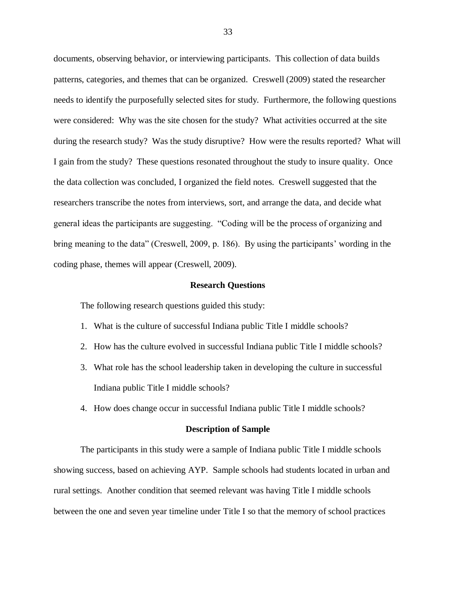documents, observing behavior, or interviewing participants. This collection of data builds patterns, categories, and themes that can be organized. Creswell (2009) stated the researcher needs to identify the purposefully selected sites for study. Furthermore, the following questions were considered: Why was the site chosen for the study? What activities occurred at the site during the research study? Was the study disruptive? How were the results reported? What will I gain from the study? These questions resonated throughout the study to insure quality. Once the data collection was concluded, I organized the field notes. Creswell suggested that the researchers transcribe the notes from interviews, sort, and arrange the data, and decide what general ideas the participants are suggesting. "Coding will be the process of organizing and bring meaning to the data" (Creswell, 2009, p. 186). By using the participants' wording in the coding phase, themes will appear (Creswell, 2009).

#### **Research Questions**

The following research questions guided this study:

- 1. What is the culture of successful Indiana public Title I middle schools?
- 2. How has the culture evolved in successful Indiana public Title I middle schools?
- 3. What role has the school leadership taken in developing the culture in successful Indiana public Title I middle schools?
- 4. How does change occur in successful Indiana public Title I middle schools?

#### **Description of Sample**

The participants in this study were a sample of Indiana public Title I middle schools showing success, based on achieving AYP. Sample schools had students located in urban and rural settings. Another condition that seemed relevant was having Title I middle schools between the one and seven year timeline under Title I so that the memory of school practices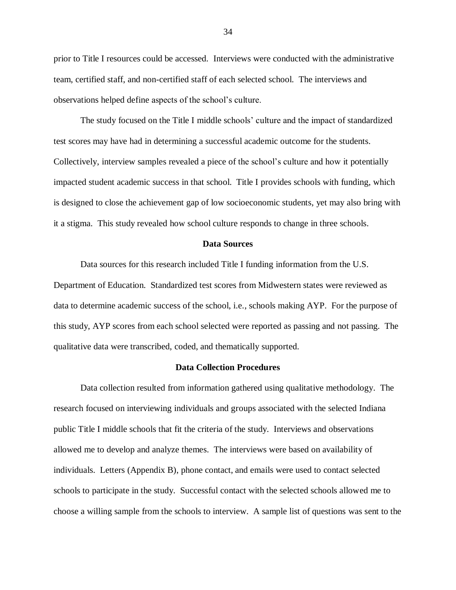prior to Title I resources could be accessed. Interviews were conducted with the administrative team, certified staff, and non-certified staff of each selected school. The interviews and observations helped define aspects of the school's culture.

The study focused on the Title I middle schools' culture and the impact of standardized test scores may have had in determining a successful academic outcome for the students. Collectively, interview samples revealed a piece of the school's culture and how it potentially impacted student academic success in that school. Title I provides schools with funding, which is designed to close the achievement gap of low socioeconomic students, yet may also bring with it a stigma. This study revealed how school culture responds to change in three schools.

## **Data Sources**

Data sources for this research included Title I funding information from the U.S. Department of Education. Standardized test scores from Midwestern states were reviewed as data to determine academic success of the school, i.e., schools making AYP. For the purpose of this study, AYP scores from each school selected were reported as passing and not passing. The qualitative data were transcribed, coded, and thematically supported.

## **Data Collection Procedures**

Data collection resulted from information gathered using qualitative methodology. The research focused on interviewing individuals and groups associated with the selected Indiana public Title I middle schools that fit the criteria of the study. Interviews and observations allowed me to develop and analyze themes. The interviews were based on availability of individuals. Letters (Appendix B), phone contact, and emails were used to contact selected schools to participate in the study. Successful contact with the selected schools allowed me to choose a willing sample from the schools to interview. A sample list of questions was sent to the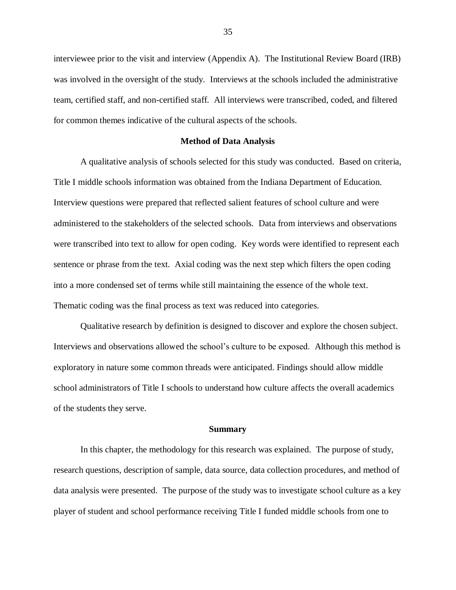interviewee prior to the visit and interview (Appendix A). The Institutional Review Board (IRB) was involved in the oversight of the study. Interviews at the schools included the administrative team, certified staff, and non-certified staff. All interviews were transcribed, coded, and filtered for common themes indicative of the cultural aspects of the schools.

#### **Method of Data Analysis**

A qualitative analysis of schools selected for this study was conducted. Based on criteria, Title I middle schools information was obtained from the Indiana Department of Education. Interview questions were prepared that reflected salient features of school culture and were administered to the stakeholders of the selected schools. Data from interviews and observations were transcribed into text to allow for open coding. Key words were identified to represent each sentence or phrase from the text. Axial coding was the next step which filters the open coding into a more condensed set of terms while still maintaining the essence of the whole text. Thematic coding was the final process as text was reduced into categories.

Qualitative research by definition is designed to discover and explore the chosen subject. Interviews and observations allowed the school's culture to be exposed. Although this method is exploratory in nature some common threads were anticipated. Findings should allow middle school administrators of Title I schools to understand how culture affects the overall academics of the students they serve.

#### **Summary**

In this chapter, the methodology for this research was explained. The purpose of study, research questions, description of sample, data source, data collection procedures, and method of data analysis were presented. The purpose of the study was to investigate school culture as a key player of student and school performance receiving Title I funded middle schools from one to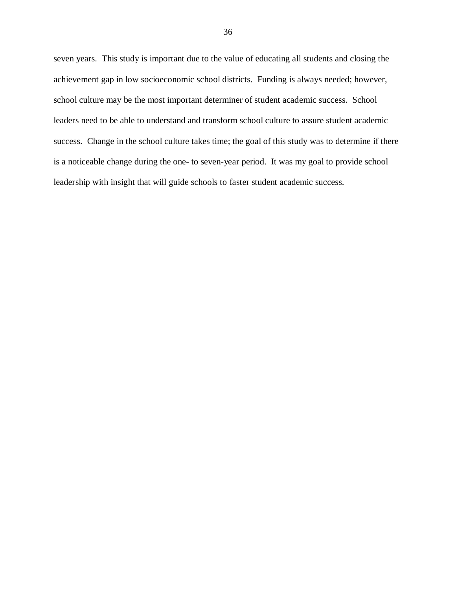seven years. This study is important due to the value of educating all students and closing the achievement gap in low socioeconomic school districts. Funding is always needed; however, school culture may be the most important determiner of student academic success. School leaders need to be able to understand and transform school culture to assure student academic success. Change in the school culture takes time; the goal of this study was to determine if there is a noticeable change during the one- to seven-year period. It was my goal to provide school leadership with insight that will guide schools to faster student academic success.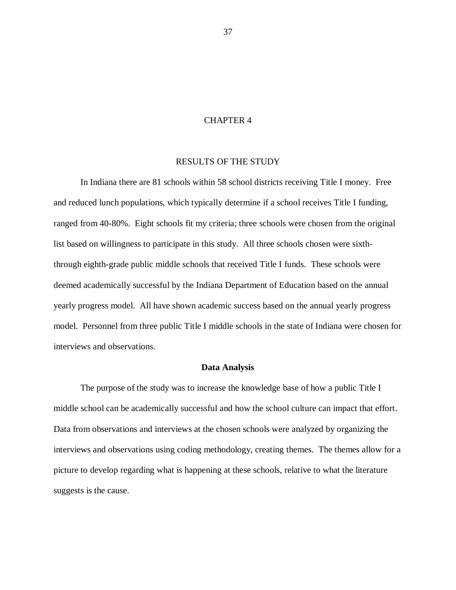## CHAPTER 4

# RESULTS OF THE STUDY

In Indiana there are 81 schools within 58 school districts receiving Title I money. Free and reduced lunch populations, which typically determine if a school receives Title I funding, ranged from 40-80%. Eight schools fit my criteria; three schools were chosen from the original list based on willingness to participate in this study. All three schools chosen were sixththrough eighth-grade public middle schools that received Title I funds. These schools were deemed academically successful by the Indiana Department of Education based on the annual yearly progress model. All have shown academic success based on the annual yearly progress model. Personnel from three public Title I middle schools in the state of Indiana were chosen for interviews and observations.

### **Data Analysis**

The purpose of the study was to increase the knowledge base of how a public Title I middle school can be academically successful and how the school culture can impact that effort. Data from observations and interviews at the chosen schools were analyzed by organizing the interviews and observations using coding methodology, creating themes. The themes allow for a picture to develop regarding what is happening at these schools, relative to what the literature suggests is the cause.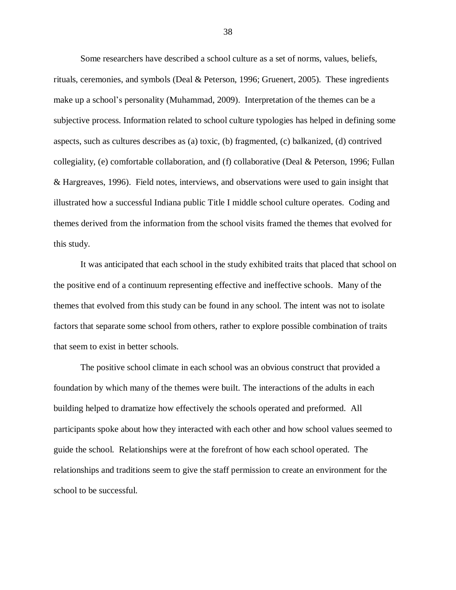Some researchers have described a school culture as a set of norms, values, beliefs, rituals, ceremonies, and symbols (Deal & Peterson, 1996; Gruenert, 2005). These ingredients make up a school's personality (Muhammad, 2009). Interpretation of the themes can be a subjective process. Information related to school culture typologies has helped in defining some aspects, such as cultures describes as (a) toxic, (b) fragmented, (c) balkanized, (d) contrived collegiality, (e) comfortable collaboration, and (f) collaborative (Deal & Peterson, 1996; Fullan & Hargreaves, 1996). Field notes, interviews, and observations were used to gain insight that illustrated how a successful Indiana public Title I middle school culture operates. Coding and themes derived from the information from the school visits framed the themes that evolved for this study.

It was anticipated that each school in the study exhibited traits that placed that school on the positive end of a continuum representing effective and ineffective schools. Many of the themes that evolved from this study can be found in any school. The intent was not to isolate factors that separate some school from others, rather to explore possible combination of traits that seem to exist in better schools.

The positive school climate in each school was an obvious construct that provided a foundation by which many of the themes were built. The interactions of the adults in each building helped to dramatize how effectively the schools operated and preformed. All participants spoke about how they interacted with each other and how school values seemed to guide the school. Relationships were at the forefront of how each school operated. The relationships and traditions seem to give the staff permission to create an environment for the school to be successful.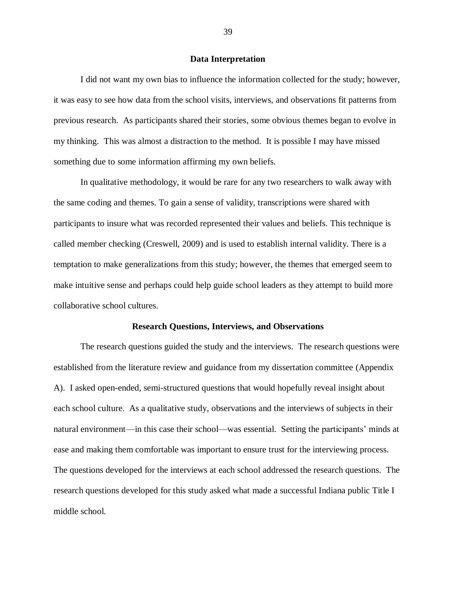## **Data Interpretation**

I did not want my own bias to influence the information collected for the study; however, it was easy to see how data from the school visits, interviews, and observations fit patterns from previous research. As participants shared their stories, some obvious themes began to evolve in my thinking. This was almost a distraction to the method. It is possible I may have missed something due to some information affirming my own beliefs.

In qualitative methodology, it would be rare for any two researchers to walk away with the same coding and themes. To gain a sense of validity, transcriptions were shared with participants to insure what was recorded represented their values and beliefs. This technique is called member checking (Creswell, 2009) and is used to establish internal validity. There is a temptation to make generalizations from this study; however, the themes that emerged seem to make intuitive sense and perhaps could help guide school leaders as they attempt to build more collaborative school cultures.

#### **Research Questions, Interviews, and Observations**

The research questions guided the study and the interviews. The research questions were established from the literature review and guidance from my dissertation committee (Appendix A). I asked open-ended, semi-structured questions that would hopefully reveal insight about each school culture. As a qualitative study, observations and the interviews of subjects in their natural environment—in this case their school—was essential. Setting the participants' minds at ease and making them comfortable was important to ensure trust for the interviewing process. The questions developed for the interviews at each school addressed the research questions. The research questions developed for this study asked what made a successful Indiana public Title I middle school.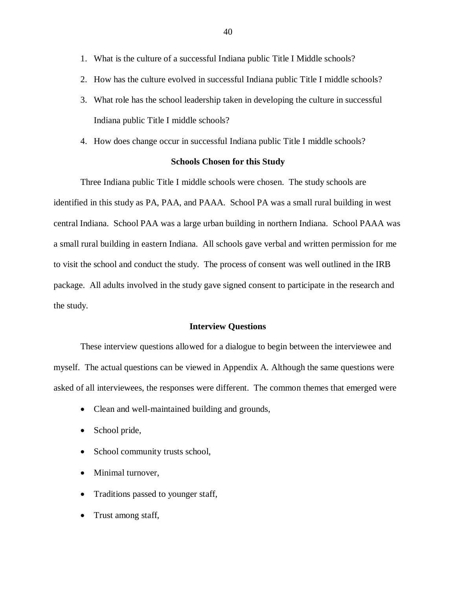- 1. What is the culture of a successful Indiana public Title I Middle schools?
- 2. How has the culture evolved in successful Indiana public Title I middle schools?
- 3. What role has the school leadership taken in developing the culture in successful Indiana public Title I middle schools?
- 4. How does change occur in successful Indiana public Title I middle schools?

# **Schools Chosen for this Study**

Three Indiana public Title I middle schools were chosen. The study schools are identified in this study as PA, PAA, and PAAA. School PA was a small rural building in west central Indiana. School PAA was a large urban building in northern Indiana. School PAAA was a small rural building in eastern Indiana. All schools gave verbal and written permission for me to visit the school and conduct the study. The process of consent was well outlined in the IRB package. All adults involved in the study gave signed consent to participate in the research and the study.

### **Interview Questions**

These interview questions allowed for a dialogue to begin between the interviewee and myself. The actual questions can be viewed in Appendix A. Although the same questions were asked of all interviewees, the responses were different. The common themes that emerged were

- Clean and well-maintained building and grounds,
- School pride,
- School community trusts school,
- Minimal turnover,
- Traditions passed to younger staff,
- Trust among staff,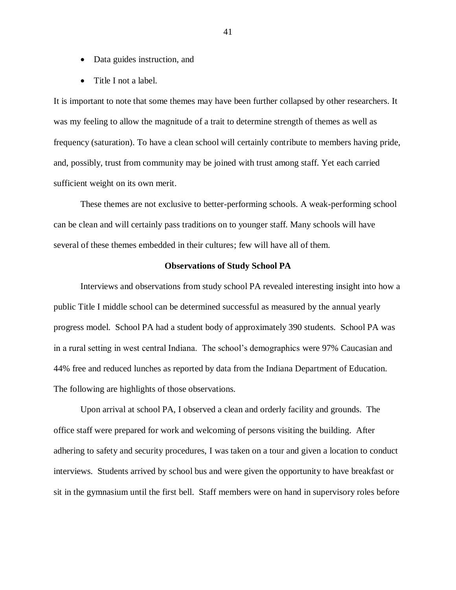- Data guides instruction, and
- Title I not a label.

It is important to note that some themes may have been further collapsed by other researchers. It was my feeling to allow the magnitude of a trait to determine strength of themes as well as frequency (saturation). To have a clean school will certainly contribute to members having pride, and, possibly, trust from community may be joined with trust among staff. Yet each carried sufficient weight on its own merit.

These themes are not exclusive to better-performing schools. A weak-performing school can be clean and will certainly pass traditions on to younger staff. Many schools will have several of these themes embedded in their cultures; few will have all of them.

## **Observations of Study School PA**

Interviews and observations from study school PA revealed interesting insight into how a public Title I middle school can be determined successful as measured by the annual yearly progress model. School PA had a student body of approximately 390 students. School PA was in a rural setting in west central Indiana. The school's demographics were 97% Caucasian and 44% free and reduced lunches as reported by data from the Indiana Department of Education. The following are highlights of those observations.

Upon arrival at school PA, I observed a clean and orderly facility and grounds. The office staff were prepared for work and welcoming of persons visiting the building. After adhering to safety and security procedures, I was taken on a tour and given a location to conduct interviews. Students arrived by school bus and were given the opportunity to have breakfast or sit in the gymnasium until the first bell. Staff members were on hand in supervisory roles before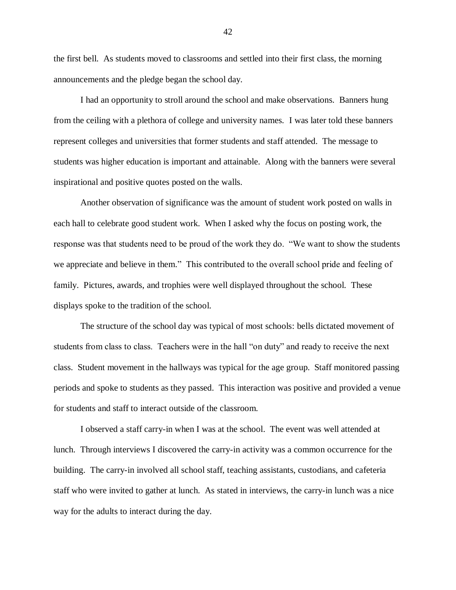the first bell. As students moved to classrooms and settled into their first class, the morning announcements and the pledge began the school day.

I had an opportunity to stroll around the school and make observations. Banners hung from the ceiling with a plethora of college and university names. I was later told these banners represent colleges and universities that former students and staff attended. The message to students was higher education is important and attainable. Along with the banners were several inspirational and positive quotes posted on the walls.

Another observation of significance was the amount of student work posted on walls in each hall to celebrate good student work. When I asked why the focus on posting work, the response was that students need to be proud of the work they do. "We want to show the students we appreciate and believe in them." This contributed to the overall school pride and feeling of family. Pictures, awards, and trophies were well displayed throughout the school. These displays spoke to the tradition of the school.

The structure of the school day was typical of most schools: bells dictated movement of students from class to class. Teachers were in the hall "on duty" and ready to receive the next class. Student movement in the hallways was typical for the age group. Staff monitored passing periods and spoke to students as they passed. This interaction was positive and provided a venue for students and staff to interact outside of the classroom.

I observed a staff carry-in when I was at the school. The event was well attended at lunch. Through interviews I discovered the carry-in activity was a common occurrence for the building. The carry-in involved all school staff, teaching assistants, custodians, and cafeteria staff who were invited to gather at lunch. As stated in interviews, the carry-in lunch was a nice way for the adults to interact during the day.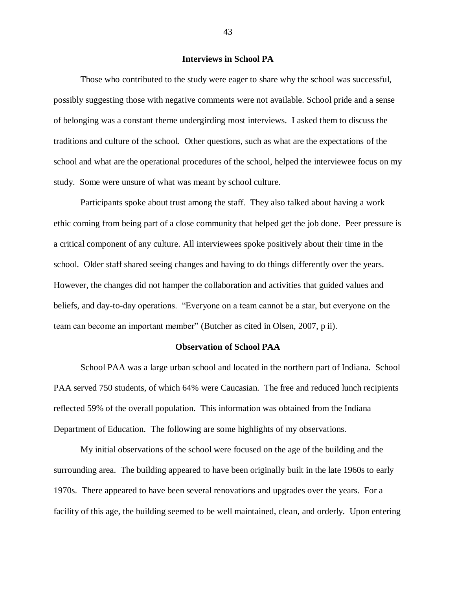## **Interviews in School PA**

Those who contributed to the study were eager to share why the school was successful, possibly suggesting those with negative comments were not available. School pride and a sense of belonging was a constant theme undergirding most interviews. I asked them to discuss the traditions and culture of the school. Other questions, such as what are the expectations of the school and what are the operational procedures of the school, helped the interviewee focus on my study. Some were unsure of what was meant by school culture.

Participants spoke about trust among the staff. They also talked about having a work ethic coming from being part of a close community that helped get the job done. Peer pressure is a critical component of any culture. All interviewees spoke positively about their time in the school. Older staff shared seeing changes and having to do things differently over the years. However, the changes did not hamper the collaboration and activities that guided values and beliefs, and day-to-day operations. "Everyone on a team cannot be a star, but everyone on the team can become an important member" (Butcher as cited in Olsen, 2007, p ii).

### **Observation of School PAA**

School PAA was a large urban school and located in the northern part of Indiana. School PAA served 750 students, of which 64% were Caucasian. The free and reduced lunch recipients reflected 59% of the overall population. This information was obtained from the Indiana Department of Education. The following are some highlights of my observations.

My initial observations of the school were focused on the age of the building and the surrounding area. The building appeared to have been originally built in the late 1960s to early 1970s. There appeared to have been several renovations and upgrades over the years. For a facility of this age, the building seemed to be well maintained, clean, and orderly. Upon entering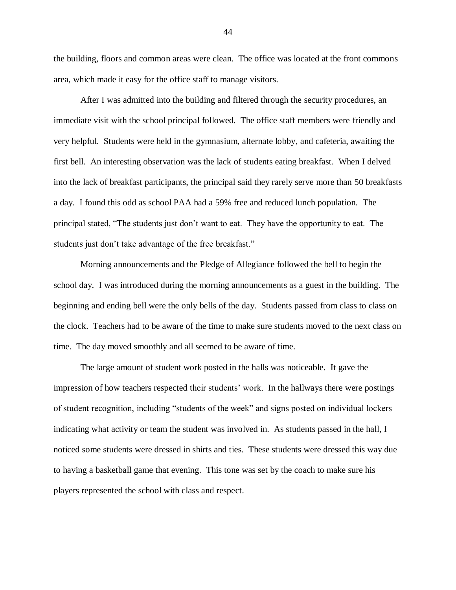the building, floors and common areas were clean. The office was located at the front commons area, which made it easy for the office staff to manage visitors.

After I was admitted into the building and filtered through the security procedures, an immediate visit with the school principal followed. The office staff members were friendly and very helpful. Students were held in the gymnasium, alternate lobby, and cafeteria, awaiting the first bell. An interesting observation was the lack of students eating breakfast. When I delved into the lack of breakfast participants, the principal said they rarely serve more than 50 breakfasts a day. I found this odd as school PAA had a 59% free and reduced lunch population. The principal stated, "The students just don't want to eat. They have the opportunity to eat. The students just don't take advantage of the free breakfast."

Morning announcements and the Pledge of Allegiance followed the bell to begin the school day. I was introduced during the morning announcements as a guest in the building. The beginning and ending bell were the only bells of the day. Students passed from class to class on the clock. Teachers had to be aware of the time to make sure students moved to the next class on time. The day moved smoothly and all seemed to be aware of time.

The large amount of student work posted in the halls was noticeable. It gave the impression of how teachers respected their students' work. In the hallways there were postings of student recognition, including "students of the week" and signs posted on individual lockers indicating what activity or team the student was involved in. As students passed in the hall, I noticed some students were dressed in shirts and ties. These students were dressed this way due to having a basketball game that evening. This tone was set by the coach to make sure his players represented the school with class and respect.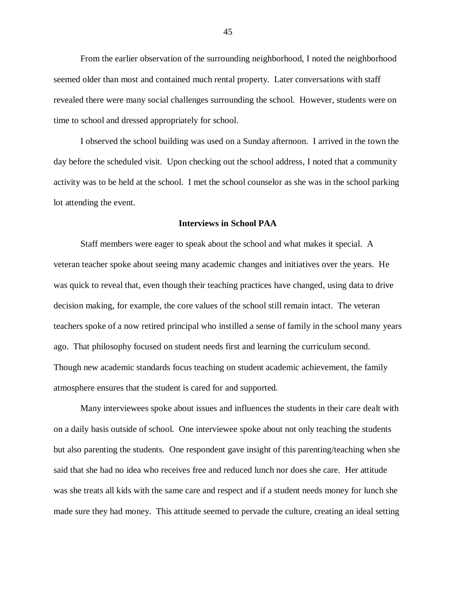From the earlier observation of the surrounding neighborhood, I noted the neighborhood seemed older than most and contained much rental property. Later conversations with staff revealed there were many social challenges surrounding the school. However, students were on time to school and dressed appropriately for school.

I observed the school building was used on a Sunday afternoon. I arrived in the town the day before the scheduled visit. Upon checking out the school address, I noted that a community activity was to be held at the school. I met the school counselor as she was in the school parking lot attending the event.

### **Interviews in School PAA**

Staff members were eager to speak about the school and what makes it special. A veteran teacher spoke about seeing many academic changes and initiatives over the years. He was quick to reveal that, even though their teaching practices have changed, using data to drive decision making, for example, the core values of the school still remain intact. The veteran teachers spoke of a now retired principal who instilled a sense of family in the school many years ago. That philosophy focused on student needs first and learning the curriculum second. Though new academic standards focus teaching on student academic achievement, the family atmosphere ensures that the student is cared for and supported.

Many interviewees spoke about issues and influences the students in their care dealt with on a daily basis outside of school. One interviewee spoke about not only teaching the students but also parenting the students. One respondent gave insight of this parenting/teaching when she said that she had no idea who receives free and reduced lunch nor does she care. Her attitude was she treats all kids with the same care and respect and if a student needs money for lunch she made sure they had money. This attitude seemed to pervade the culture, creating an ideal setting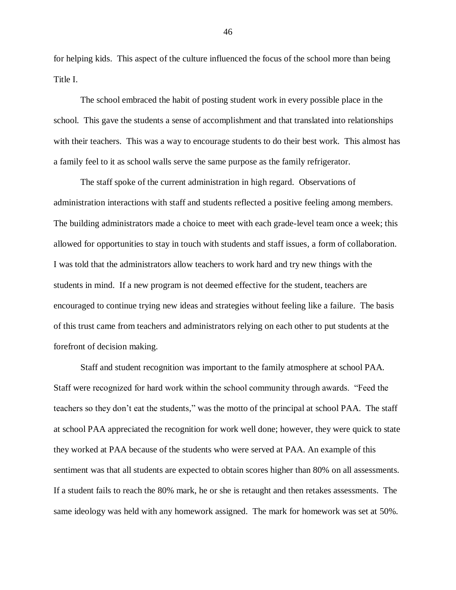for helping kids. This aspect of the culture influenced the focus of the school more than being Title I.

The school embraced the habit of posting student work in every possible place in the school. This gave the students a sense of accomplishment and that translated into relationships with their teachers. This was a way to encourage students to do their best work. This almost has a family feel to it as school walls serve the same purpose as the family refrigerator.

The staff spoke of the current administration in high regard. Observations of administration interactions with staff and students reflected a positive feeling among members. The building administrators made a choice to meet with each grade-level team once a week; this allowed for opportunities to stay in touch with students and staff issues, a form of collaboration. I was told that the administrators allow teachers to work hard and try new things with the students in mind. If a new program is not deemed effective for the student, teachers are encouraged to continue trying new ideas and strategies without feeling like a failure. The basis of this trust came from teachers and administrators relying on each other to put students at the forefront of decision making.

Staff and student recognition was important to the family atmosphere at school PAA. Staff were recognized for hard work within the school community through awards. "Feed the teachers so they don't eat the students," was the motto of the principal at school PAA. The staff at school PAA appreciated the recognition for work well done; however, they were quick to state they worked at PAA because of the students who were served at PAA. An example of this sentiment was that all students are expected to obtain scores higher than 80% on all assessments. If a student fails to reach the 80% mark, he or she is retaught and then retakes assessments. The same ideology was held with any homework assigned. The mark for homework was set at 50%.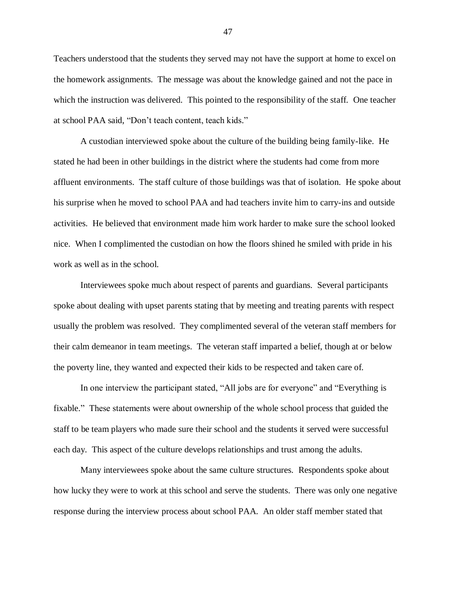Teachers understood that the students they served may not have the support at home to excel on the homework assignments. The message was about the knowledge gained and not the pace in which the instruction was delivered. This pointed to the responsibility of the staff. One teacher at school PAA said, "Don't teach content, teach kids."

A custodian interviewed spoke about the culture of the building being family-like. He stated he had been in other buildings in the district where the students had come from more affluent environments. The staff culture of those buildings was that of isolation. He spoke about his surprise when he moved to school PAA and had teachers invite him to carry-ins and outside activities. He believed that environment made him work harder to make sure the school looked nice. When I complimented the custodian on how the floors shined he smiled with pride in his work as well as in the school.

Interviewees spoke much about respect of parents and guardians. Several participants spoke about dealing with upset parents stating that by meeting and treating parents with respect usually the problem was resolved. They complimented several of the veteran staff members for their calm demeanor in team meetings. The veteran staff imparted a belief, though at or below the poverty line, they wanted and expected their kids to be respected and taken care of.

In one interview the participant stated, "All jobs are for everyone" and "Everything is fixable." These statements were about ownership of the whole school process that guided the staff to be team players who made sure their school and the students it served were successful each day. This aspect of the culture develops relationships and trust among the adults.

Many interviewees spoke about the same culture structures. Respondents spoke about how lucky they were to work at this school and serve the students. There was only one negative response during the interview process about school PAA. An older staff member stated that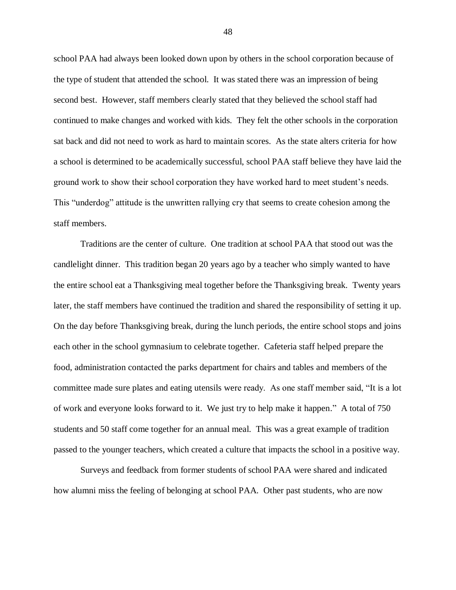school PAA had always been looked down upon by others in the school corporation because of the type of student that attended the school. It was stated there was an impression of being second best. However, staff members clearly stated that they believed the school staff had continued to make changes and worked with kids. They felt the other schools in the corporation sat back and did not need to work as hard to maintain scores. As the state alters criteria for how a school is determined to be academically successful, school PAA staff believe they have laid the ground work to show their school corporation they have worked hard to meet student's needs. This "underdog" attitude is the unwritten rallying cry that seems to create cohesion among the staff members.

Traditions are the center of culture. One tradition at school PAA that stood out was the candlelight dinner. This tradition began 20 years ago by a teacher who simply wanted to have the entire school eat a Thanksgiving meal together before the Thanksgiving break. Twenty years later, the staff members have continued the tradition and shared the responsibility of setting it up. On the day before Thanksgiving break, during the lunch periods, the entire school stops and joins each other in the school gymnasium to celebrate together. Cafeteria staff helped prepare the food, administration contacted the parks department for chairs and tables and members of the committee made sure plates and eating utensils were ready. As one staff member said, "It is a lot of work and everyone looks forward to it. We just try to help make it happen." A total of 750 students and 50 staff come together for an annual meal. This was a great example of tradition passed to the younger teachers, which created a culture that impacts the school in a positive way.

Surveys and feedback from former students of school PAA were shared and indicated how alumni miss the feeling of belonging at school PAA. Other past students, who are now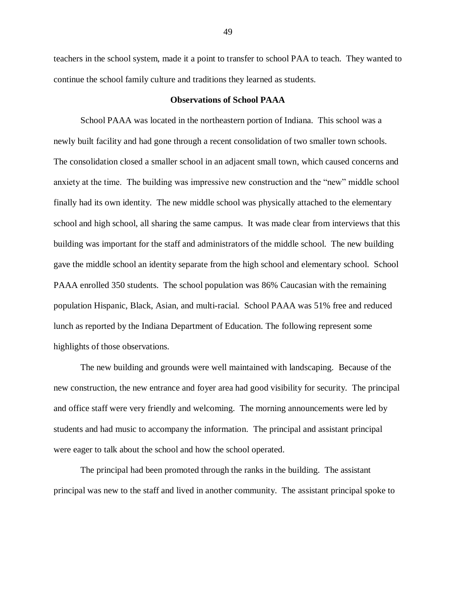teachers in the school system, made it a point to transfer to school PAA to teach. They wanted to continue the school family culture and traditions they learned as students.

## **Observations of School PAAA**

School PAAA was located in the northeastern portion of Indiana. This school was a newly built facility and had gone through a recent consolidation of two smaller town schools. The consolidation closed a smaller school in an adjacent small town, which caused concerns and anxiety at the time. The building was impressive new construction and the "new" middle school finally had its own identity. The new middle school was physically attached to the elementary school and high school, all sharing the same campus. It was made clear from interviews that this building was important for the staff and administrators of the middle school. The new building gave the middle school an identity separate from the high school and elementary school. School PAAA enrolled 350 students. The school population was 86% Caucasian with the remaining population Hispanic, Black, Asian, and multi-racial. School PAAA was 51% free and reduced lunch as reported by the Indiana Department of Education. The following represent some highlights of those observations.

The new building and grounds were well maintained with landscaping. Because of the new construction, the new entrance and foyer area had good visibility for security. The principal and office staff were very friendly and welcoming. The morning announcements were led by students and had music to accompany the information. The principal and assistant principal were eager to talk about the school and how the school operated.

The principal had been promoted through the ranks in the building. The assistant principal was new to the staff and lived in another community. The assistant principal spoke to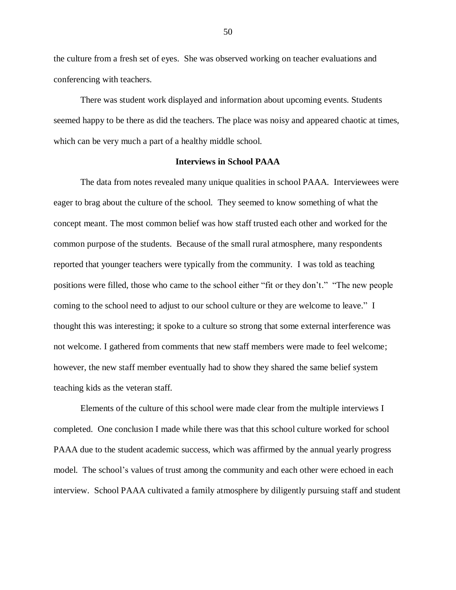the culture from a fresh set of eyes. She was observed working on teacher evaluations and conferencing with teachers.

There was student work displayed and information about upcoming events. Students seemed happy to be there as did the teachers. The place was noisy and appeared chaotic at times, which can be very much a part of a healthy middle school.

## **Interviews in School PAAA**

The data from notes revealed many unique qualities in school PAAA. Interviewees were eager to brag about the culture of the school. They seemed to know something of what the concept meant. The most common belief was how staff trusted each other and worked for the common purpose of the students. Because of the small rural atmosphere, many respondents reported that younger teachers were typically from the community. I was told as teaching positions were filled, those who came to the school either "fit or they don't." "The new people coming to the school need to adjust to our school culture or they are welcome to leave." I thought this was interesting; it spoke to a culture so strong that some external interference was not welcome. I gathered from comments that new staff members were made to feel welcome; however, the new staff member eventually had to show they shared the same belief system teaching kids as the veteran staff.

Elements of the culture of this school were made clear from the multiple interviews I completed. One conclusion I made while there was that this school culture worked for school PAAA due to the student academic success, which was affirmed by the annual yearly progress model. The school's values of trust among the community and each other were echoed in each interview. School PAAA cultivated a family atmosphere by diligently pursuing staff and student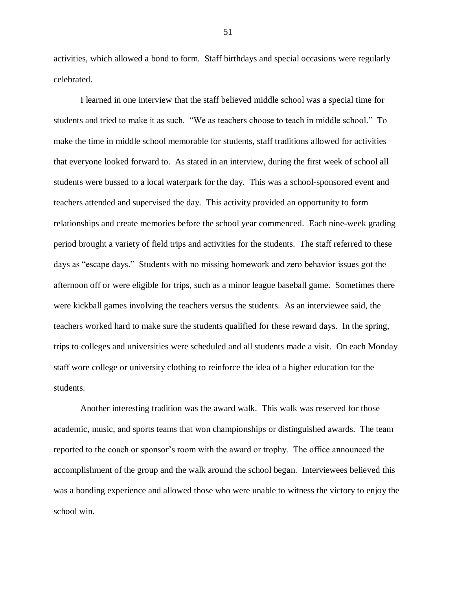activities, which allowed a bond to form. Staff birthdays and special occasions were regularly celebrated.

I learned in one interview that the staff believed middle school was a special time for students and tried to make it as such. "We as teachers choose to teach in middle school." To make the time in middle school memorable for students, staff traditions allowed for activities that everyone looked forward to. As stated in an interview, during the first week of school all students were bussed to a local waterpark for the day. This was a school-sponsored event and teachers attended and supervised the day. This activity provided an opportunity to form relationships and create memories before the school year commenced. Each nine-week grading period brought a variety of field trips and activities for the students. The staff referred to these days as "escape days." Students with no missing homework and zero behavior issues got the afternoon off or were eligible for trips, such as a minor league baseball game. Sometimes there were kickball games involving the teachers versus the students. As an interviewee said, the teachers worked hard to make sure the students qualified for these reward days. In the spring, trips to colleges and universities were scheduled and all students made a visit. On each Monday staff wore college or university clothing to reinforce the idea of a higher education for the students.

Another interesting tradition was the award walk. This walk was reserved for those academic, music, and sports teams that won championships or distinguished awards. The team reported to the coach or sponsor's room with the award or trophy. The office announced the accomplishment of the group and the walk around the school began. Interviewees believed this was a bonding experience and allowed those who were unable to witness the victory to enjoy the school win.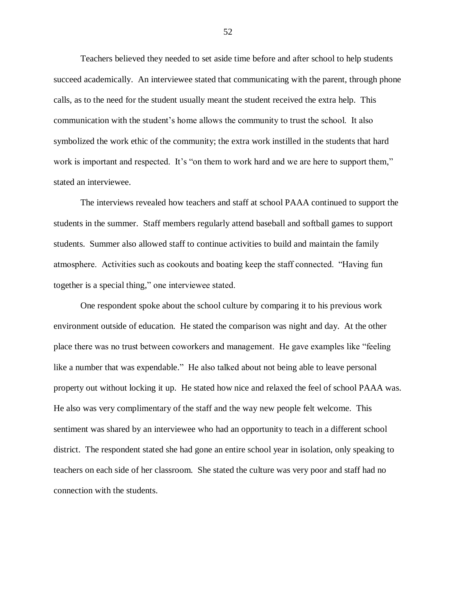Teachers believed they needed to set aside time before and after school to help students succeed academically. An interviewee stated that communicating with the parent, through phone calls, as to the need for the student usually meant the student received the extra help. This communication with the student's home allows the community to trust the school. It also symbolized the work ethic of the community; the extra work instilled in the students that hard work is important and respected. It's "on them to work hard and we are here to support them," stated an interviewee.

The interviews revealed how teachers and staff at school PAAA continued to support the students in the summer. Staff members regularly attend baseball and softball games to support students. Summer also allowed staff to continue activities to build and maintain the family atmosphere. Activities such as cookouts and boating keep the staff connected. "Having fun together is a special thing," one interviewee stated.

One respondent spoke about the school culture by comparing it to his previous work environment outside of education. He stated the comparison was night and day. At the other place there was no trust between coworkers and management. He gave examples like "feeling like a number that was expendable." He also talked about not being able to leave personal property out without locking it up. He stated how nice and relaxed the feel of school PAAA was. He also was very complimentary of the staff and the way new people felt welcome. This sentiment was shared by an interviewee who had an opportunity to teach in a different school district. The respondent stated she had gone an entire school year in isolation, only speaking to teachers on each side of her classroom. She stated the culture was very poor and staff had no connection with the students.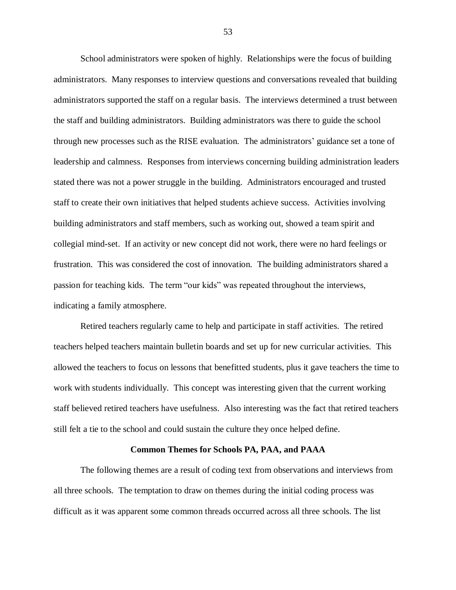School administrators were spoken of highly. Relationships were the focus of building administrators. Many responses to interview questions and conversations revealed that building administrators supported the staff on a regular basis. The interviews determined a trust between the staff and building administrators. Building administrators was there to guide the school through new processes such as the RISE evaluation. The administrators' guidance set a tone of leadership and calmness. Responses from interviews concerning building administration leaders stated there was not a power struggle in the building. Administrators encouraged and trusted staff to create their own initiatives that helped students achieve success. Activities involving building administrators and staff members, such as working out, showed a team spirit and collegial mind-set. If an activity or new concept did not work, there were no hard feelings or frustration. This was considered the cost of innovation. The building administrators shared a passion for teaching kids. The term "our kids" was repeated throughout the interviews, indicating a family atmosphere.

Retired teachers regularly came to help and participate in staff activities. The retired teachers helped teachers maintain bulletin boards and set up for new curricular activities. This allowed the teachers to focus on lessons that benefitted students, plus it gave teachers the time to work with students individually. This concept was interesting given that the current working staff believed retired teachers have usefulness. Also interesting was the fact that retired teachers still felt a tie to the school and could sustain the culture they once helped define.

### **Common Themes for Schools PA, PAA, and PAAA**

The following themes are a result of coding text from observations and interviews from all three schools. The temptation to draw on themes during the initial coding process was difficult as it was apparent some common threads occurred across all three schools. The list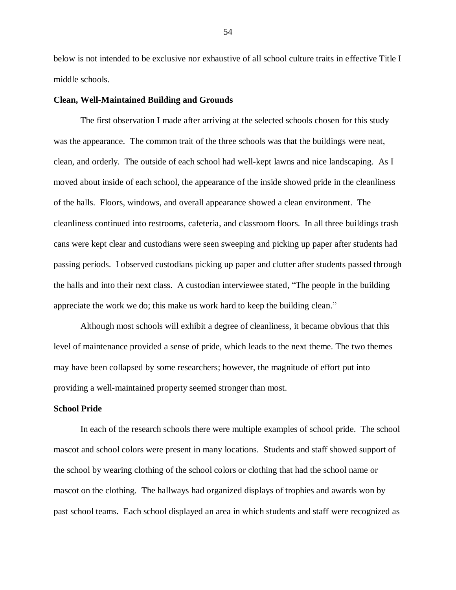below is not intended to be exclusive nor exhaustive of all school culture traits in effective Title I middle schools.

## **Clean, Well-Maintained Building and Grounds**

The first observation I made after arriving at the selected schools chosen for this study was the appearance. The common trait of the three schools was that the buildings were neat, clean, and orderly. The outside of each school had well-kept lawns and nice landscaping. As I moved about inside of each school, the appearance of the inside showed pride in the cleanliness of the halls. Floors, windows, and overall appearance showed a clean environment. The cleanliness continued into restrooms, cafeteria, and classroom floors. In all three buildings trash cans were kept clear and custodians were seen sweeping and picking up paper after students had passing periods. I observed custodians picking up paper and clutter after students passed through the halls and into their next class. A custodian interviewee stated, "The people in the building appreciate the work we do; this make us work hard to keep the building clean."

Although most schools will exhibit a degree of cleanliness, it became obvious that this level of maintenance provided a sense of pride, which leads to the next theme. The two themes may have been collapsed by some researchers; however, the magnitude of effort put into providing a well-maintained property seemed stronger than most.

## **School Pride**

In each of the research schools there were multiple examples of school pride. The school mascot and school colors were present in many locations. Students and staff showed support of the school by wearing clothing of the school colors or clothing that had the school name or mascot on the clothing. The hallways had organized displays of trophies and awards won by past school teams. Each school displayed an area in which students and staff were recognized as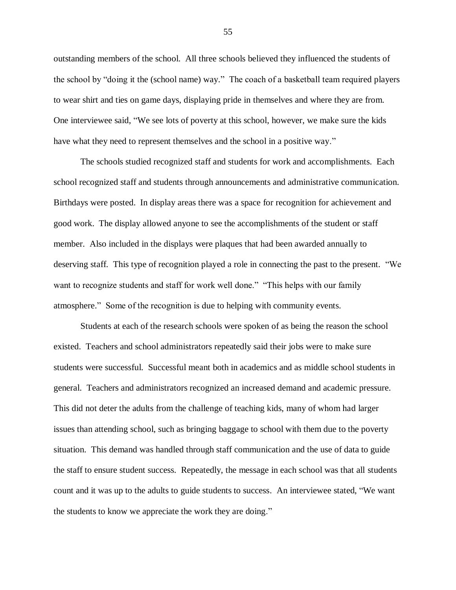outstanding members of the school. All three schools believed they influenced the students of the school by "doing it the (school name) way." The coach of a basketball team required players to wear shirt and ties on game days, displaying pride in themselves and where they are from. One interviewee said, "We see lots of poverty at this school, however, we make sure the kids have what they need to represent themselves and the school in a positive way."

The schools studied recognized staff and students for work and accomplishments. Each school recognized staff and students through announcements and administrative communication. Birthdays were posted. In display areas there was a space for recognition for achievement and good work. The display allowed anyone to see the accomplishments of the student or staff member. Also included in the displays were plaques that had been awarded annually to deserving staff. This type of recognition played a role in connecting the past to the present. "We want to recognize students and staff for work well done." "This helps with our family atmosphere." Some of the recognition is due to helping with community events.

Students at each of the research schools were spoken of as being the reason the school existed. Teachers and school administrators repeatedly said their jobs were to make sure students were successful. Successful meant both in academics and as middle school students in general. Teachers and administrators recognized an increased demand and academic pressure. This did not deter the adults from the challenge of teaching kids, many of whom had larger issues than attending school, such as bringing baggage to school with them due to the poverty situation. This demand was handled through staff communication and the use of data to guide the staff to ensure student success. Repeatedly, the message in each school was that all students count and it was up to the adults to guide students to success. An interviewee stated, "We want the students to know we appreciate the work they are doing."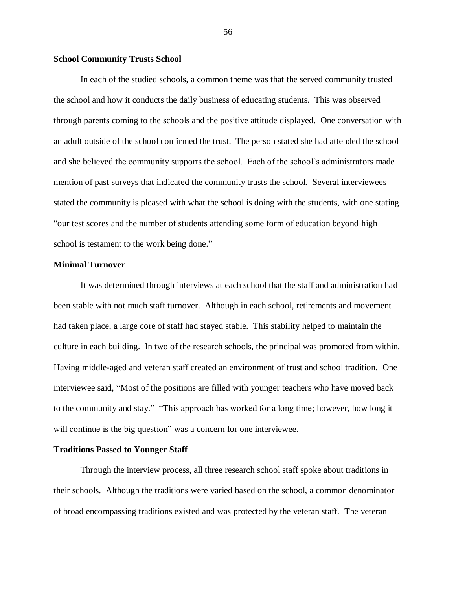## **School Community Trusts School**

In each of the studied schools, a common theme was that the served community trusted the school and how it conducts the daily business of educating students. This was observed through parents coming to the schools and the positive attitude displayed. One conversation with an adult outside of the school confirmed the trust. The person stated she had attended the school and she believed the community supports the school. Each of the school's administrators made mention of past surveys that indicated the community trusts the school. Several interviewees stated the community is pleased with what the school is doing with the students, with one stating "our test scores and the number of students attending some form of education beyond high school is testament to the work being done."

## **Minimal Turnover**

It was determined through interviews at each school that the staff and administration had been stable with not much staff turnover. Although in each school, retirements and movement had taken place, a large core of staff had stayed stable. This stability helped to maintain the culture in each building. In two of the research schools, the principal was promoted from within. Having middle-aged and veteran staff created an environment of trust and school tradition. One interviewee said, "Most of the positions are filled with younger teachers who have moved back to the community and stay." "This approach has worked for a long time; however, how long it will continue is the big question" was a concern for one interviewee.

## **Traditions Passed to Younger Staff**

Through the interview process, all three research school staff spoke about traditions in their schools. Although the traditions were varied based on the school, a common denominator of broad encompassing traditions existed and was protected by the veteran staff. The veteran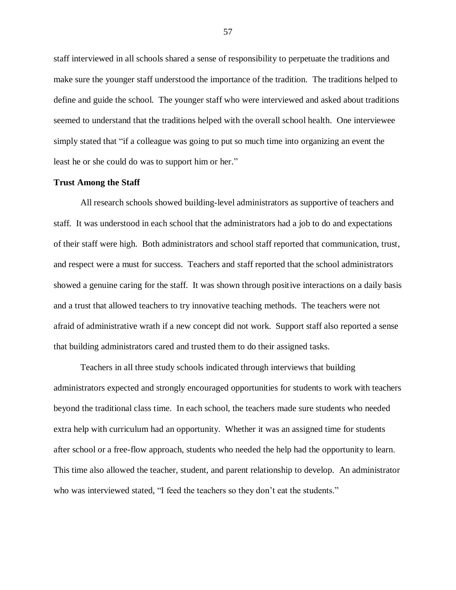staff interviewed in all schools shared a sense of responsibility to perpetuate the traditions and make sure the younger staff understood the importance of the tradition. The traditions helped to define and guide the school. The younger staff who were interviewed and asked about traditions seemed to understand that the traditions helped with the overall school health. One interviewee simply stated that "if a colleague was going to put so much time into organizing an event the least he or she could do was to support him or her."

### **Trust Among the Staff**

All research schools showed building-level administrators as supportive of teachers and staff. It was understood in each school that the administrators had a job to do and expectations of their staff were high. Both administrators and school staff reported that communication, trust, and respect were a must for success. Teachers and staff reported that the school administrators showed a genuine caring for the staff. It was shown through positive interactions on a daily basis and a trust that allowed teachers to try innovative teaching methods. The teachers were not afraid of administrative wrath if a new concept did not work. Support staff also reported a sense that building administrators cared and trusted them to do their assigned tasks.

Teachers in all three study schools indicated through interviews that building administrators expected and strongly encouraged opportunities for students to work with teachers beyond the traditional class time. In each school, the teachers made sure students who needed extra help with curriculum had an opportunity. Whether it was an assigned time for students after school or a free-flow approach, students who needed the help had the opportunity to learn. This time also allowed the teacher, student, and parent relationship to develop. An administrator who was interviewed stated, "I feed the teachers so they don't eat the students."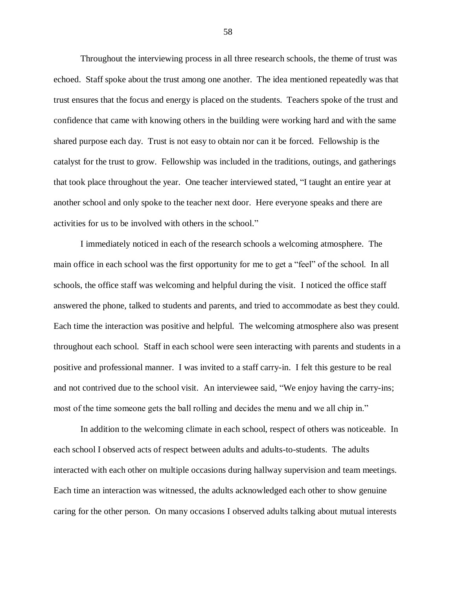Throughout the interviewing process in all three research schools, the theme of trust was echoed. Staff spoke about the trust among one another. The idea mentioned repeatedly was that trust ensures that the focus and energy is placed on the students. Teachers spoke of the trust and confidence that came with knowing others in the building were working hard and with the same shared purpose each day. Trust is not easy to obtain nor can it be forced. Fellowship is the catalyst for the trust to grow. Fellowship was included in the traditions, outings, and gatherings that took place throughout the year. One teacher interviewed stated, "I taught an entire year at another school and only spoke to the teacher next door. Here everyone speaks and there are activities for us to be involved with others in the school."

I immediately noticed in each of the research schools a welcoming atmosphere. The main office in each school was the first opportunity for me to get a "feel" of the school. In all schools, the office staff was welcoming and helpful during the visit. I noticed the office staff answered the phone, talked to students and parents, and tried to accommodate as best they could. Each time the interaction was positive and helpful. The welcoming atmosphere also was present throughout each school. Staff in each school were seen interacting with parents and students in a positive and professional manner. I was invited to a staff carry-in. I felt this gesture to be real and not contrived due to the school visit. An interviewee said, "We enjoy having the carry-ins; most of the time someone gets the ball rolling and decides the menu and we all chip in."

In addition to the welcoming climate in each school, respect of others was noticeable. In each school I observed acts of respect between adults and adults-to-students. The adults interacted with each other on multiple occasions during hallway supervision and team meetings. Each time an interaction was witnessed, the adults acknowledged each other to show genuine caring for the other person. On many occasions I observed adults talking about mutual interests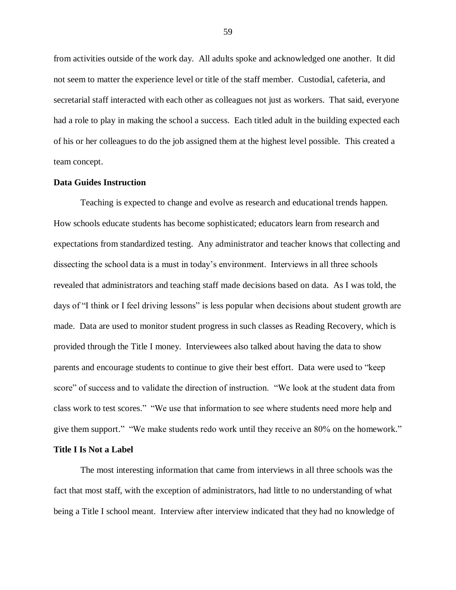from activities outside of the work day. All adults spoke and acknowledged one another. It did not seem to matter the experience level or title of the staff member. Custodial, cafeteria, and secretarial staff interacted with each other as colleagues not just as workers. That said, everyone had a role to play in making the school a success. Each titled adult in the building expected each of his or her colleagues to do the job assigned them at the highest level possible. This created a team concept.

## **Data Guides Instruction**

Teaching is expected to change and evolve as research and educational trends happen. How schools educate students has become sophisticated; educators learn from research and expectations from standardized testing. Any administrator and teacher knows that collecting and dissecting the school data is a must in today's environment. Interviews in all three schools revealed that administrators and teaching staff made decisions based on data. As I was told, the days of "I think or I feel driving lessons" is less popular when decisions about student growth are made. Data are used to monitor student progress in such classes as Reading Recovery, which is provided through the Title I money. Interviewees also talked about having the data to show parents and encourage students to continue to give their best effort. Data were used to "keep score" of success and to validate the direction of instruction. "We look at the student data from class work to test scores." "We use that information to see where students need more help and give them support." "We make students redo work until they receive an 80% on the homework."

# **Title I Is Not a Label**

The most interesting information that came from interviews in all three schools was the fact that most staff, with the exception of administrators, had little to no understanding of what being a Title I school meant. Interview after interview indicated that they had no knowledge of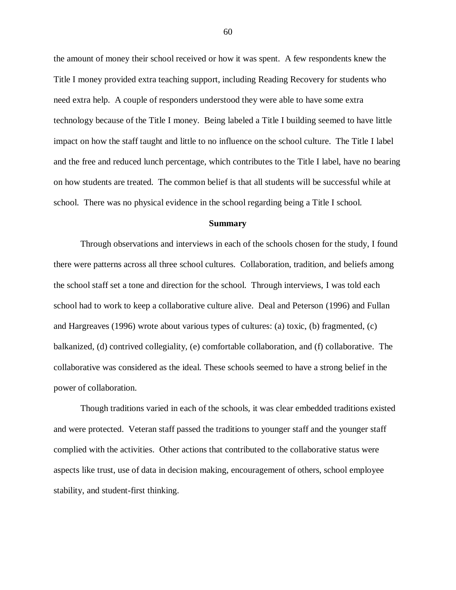the amount of money their school received or how it was spent. A few respondents knew the Title I money provided extra teaching support, including Reading Recovery for students who need extra help. A couple of responders understood they were able to have some extra technology because of the Title I money. Being labeled a Title I building seemed to have little impact on how the staff taught and little to no influence on the school culture. The Title I label and the free and reduced lunch percentage, which contributes to the Title I label, have no bearing on how students are treated. The common belief is that all students will be successful while at school. There was no physical evidence in the school regarding being a Title I school.

#### **Summary**

Through observations and interviews in each of the schools chosen for the study, I found there were patterns across all three school cultures. Collaboration, tradition, and beliefs among the school staff set a tone and direction for the school. Through interviews, I was told each school had to work to keep a collaborative culture alive. Deal and Peterson (1996) and Fullan and Hargreaves (1996) wrote about various types of cultures: (a) toxic, (b) fragmented, (c) balkanized, (d) contrived collegiality, (e) comfortable collaboration, and (f) collaborative. The collaborative was considered as the ideal. These schools seemed to have a strong belief in the power of collaboration.

Though traditions varied in each of the schools, it was clear embedded traditions existed and were protected. Veteran staff passed the traditions to younger staff and the younger staff complied with the activities. Other actions that contributed to the collaborative status were aspects like trust, use of data in decision making, encouragement of others, school employee stability, and student-first thinking.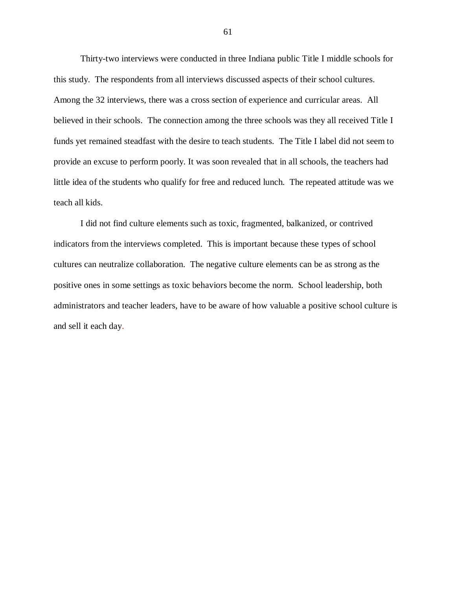Thirty-two interviews were conducted in three Indiana public Title I middle schools for this study. The respondents from all interviews discussed aspects of their school cultures. Among the 32 interviews, there was a cross section of experience and curricular areas. All believed in their schools. The connection among the three schools was they all received Title I funds yet remained steadfast with the desire to teach students. The Title I label did not seem to provide an excuse to perform poorly. It was soon revealed that in all schools, the teachers had little idea of the students who qualify for free and reduced lunch. The repeated attitude was we teach all kids.

I did not find culture elements such as toxic, fragmented, balkanized, or contrived indicators from the interviews completed. This is important because these types of school cultures can neutralize collaboration. The negative culture elements can be as strong as the positive ones in some settings as toxic behaviors become the norm. School leadership, both administrators and teacher leaders, have to be aware of how valuable a positive school culture is and sell it each day.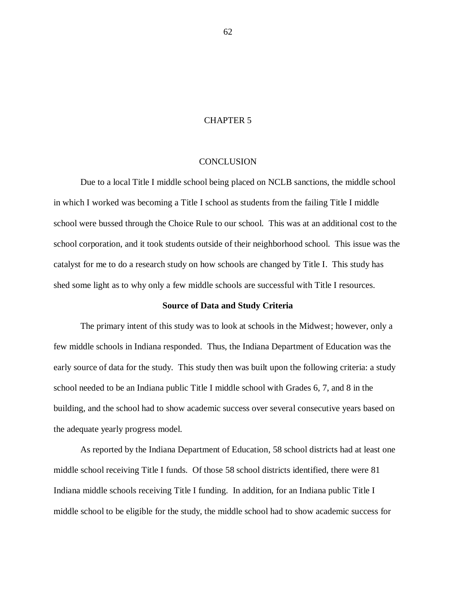## CHAPTER 5

## **CONCLUSION**

Due to a local Title I middle school being placed on NCLB sanctions, the middle school in which I worked was becoming a Title I school as students from the failing Title I middle school were bussed through the Choice Rule to our school. This was at an additional cost to the school corporation, and it took students outside of their neighborhood school. This issue was the catalyst for me to do a research study on how schools are changed by Title I. This study has shed some light as to why only a few middle schools are successful with Title I resources.

#### **Source of Data and Study Criteria**

The primary intent of this study was to look at schools in the Midwest; however, only a few middle schools in Indiana responded. Thus, the Indiana Department of Education was the early source of data for the study. This study then was built upon the following criteria: a study school needed to be an Indiana public Title I middle school with Grades 6, 7, and 8 in the building, and the school had to show academic success over several consecutive years based on the adequate yearly progress model.

As reported by the Indiana Department of Education, 58 school districts had at least one middle school receiving Title I funds. Of those 58 school districts identified, there were 81 Indiana middle schools receiving Title I funding. In addition, for an Indiana public Title I middle school to be eligible for the study, the middle school had to show academic success for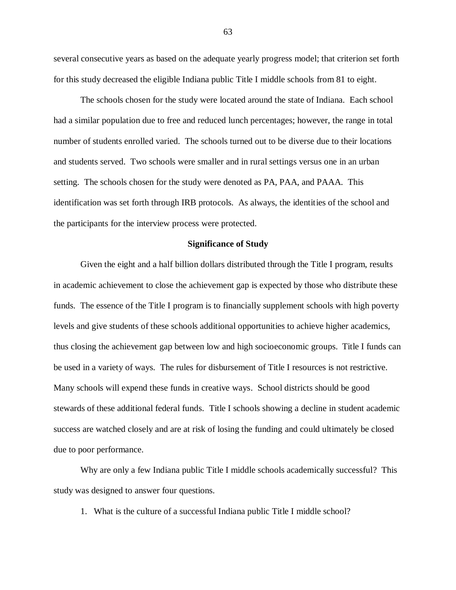several consecutive years as based on the adequate yearly progress model; that criterion set forth for this study decreased the eligible Indiana public Title I middle schools from 81 to eight.

The schools chosen for the study were located around the state of Indiana. Each school had a similar population due to free and reduced lunch percentages; however, the range in total number of students enrolled varied. The schools turned out to be diverse due to their locations and students served. Two schools were smaller and in rural settings versus one in an urban setting. The schools chosen for the study were denoted as PA, PAA, and PAAA. This identification was set forth through IRB protocols. As always, the identities of the school and the participants for the interview process were protected.

## **Significance of Study**

Given the eight and a half billion dollars distributed through the Title I program, results in academic achievement to close the achievement gap is expected by those who distribute these funds. The essence of the Title I program is to financially supplement schools with high poverty levels and give students of these schools additional opportunities to achieve higher academics, thus closing the achievement gap between low and high socioeconomic groups. Title I funds can be used in a variety of ways. The rules for disbursement of Title I resources is not restrictive. Many schools will expend these funds in creative ways. School districts should be good stewards of these additional federal funds. Title I schools showing a decline in student academic success are watched closely and are at risk of losing the funding and could ultimately be closed due to poor performance.

Why are only a few Indiana public Title I middle schools academically successful? This study was designed to answer four questions.

1. What is the culture of a successful Indiana public Title I middle school?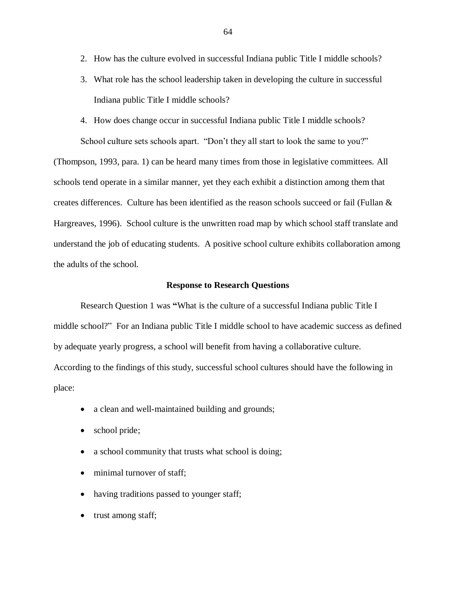- 2. How has the culture evolved in successful Indiana public Title I middle schools?
- 3. What role has the school leadership taken in developing the culture in successful Indiana public Title I middle schools?
- 4. How does change occur in successful Indiana public Title I middle schools? School culture sets schools apart. "Don't they all start to look the same to you?"

(Thompson, 1993, para. 1) can be heard many times from those in legislative committees. All schools tend operate in a similar manner, yet they each exhibit a distinction among them that creates differences. Culture has been identified as the reason schools succeed or fail (Fullan & Hargreaves, 1996). School culture is the unwritten road map by which school staff translate and understand the job of educating students. A positive school culture exhibits collaboration among the adults of the school.

## **Response to Research Questions**

Research Question 1 was **"**What is the culture of a successful Indiana public Title I middle school?" For an Indiana public Title I middle school to have academic success as defined by adequate yearly progress, a school will benefit from having a collaborative culture. According to the findings of this study, successful school cultures should have the following in place:

- a clean and well-maintained building and grounds;
- school pride;
- a school community that trusts what school is doing;
- minimal turnover of staff;
- having traditions passed to younger staff;
- trust among staff;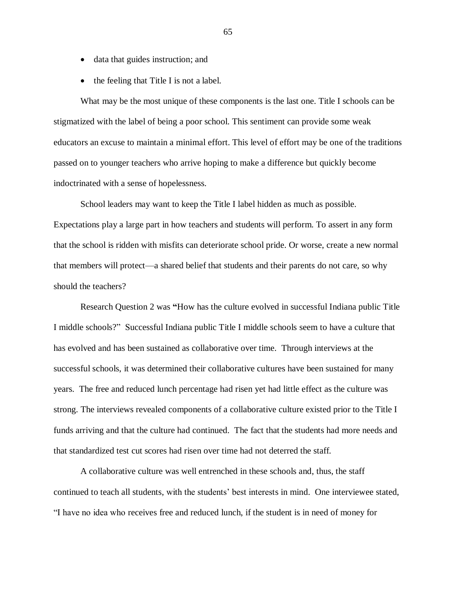- data that guides instruction; and
- the feeling that Title I is not a label.

What may be the most unique of these components is the last one. Title I schools can be stigmatized with the label of being a poor school. This sentiment can provide some weak educators an excuse to maintain a minimal effort. This level of effort may be one of the traditions passed on to younger teachers who arrive hoping to make a difference but quickly become indoctrinated with a sense of hopelessness.

School leaders may want to keep the Title I label hidden as much as possible. Expectations play a large part in how teachers and students will perform. To assert in any form that the school is ridden with misfits can deteriorate school pride. Or worse, create a new normal that members will protect—a shared belief that students and their parents do not care, so why should the teachers?

Research Question 2 was **"**How has the culture evolved in successful Indiana public Title I middle schools?" Successful Indiana public Title I middle schools seem to have a culture that has evolved and has been sustained as collaborative over time. Through interviews at the successful schools, it was determined their collaborative cultures have been sustained for many years. The free and reduced lunch percentage had risen yet had little effect as the culture was strong. The interviews revealed components of a collaborative culture existed prior to the Title I funds arriving and that the culture had continued. The fact that the students had more needs and that standardized test cut scores had risen over time had not deterred the staff.

A collaborative culture was well entrenched in these schools and, thus, the staff continued to teach all students, with the students' best interests in mind. One interviewee stated, "I have no idea who receives free and reduced lunch, if the student is in need of money for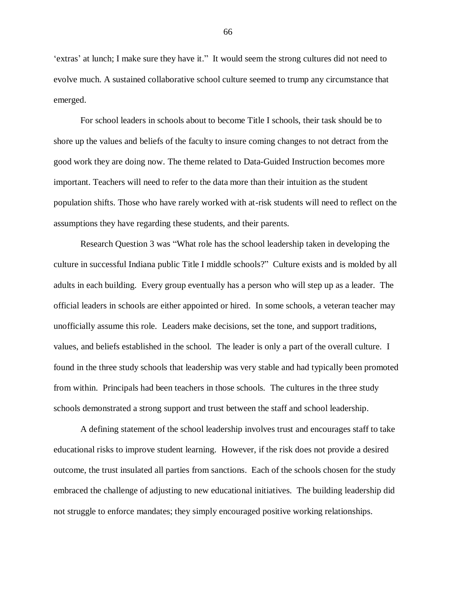'extras' at lunch; I make sure they have it." It would seem the strong cultures did not need to evolve much. A sustained collaborative school culture seemed to trump any circumstance that emerged.

For school leaders in schools about to become Title I schools, their task should be to shore up the values and beliefs of the faculty to insure coming changes to not detract from the good work they are doing now. The theme related to Data-Guided Instruction becomes more important. Teachers will need to refer to the data more than their intuition as the student population shifts. Those who have rarely worked with at-risk students will need to reflect on the assumptions they have regarding these students, and their parents.

Research Question 3 was "What role has the school leadership taken in developing the culture in successful Indiana public Title I middle schools?" Culture exists and is molded by all adults in each building. Every group eventually has a person who will step up as a leader. The official leaders in schools are either appointed or hired. In some schools, a veteran teacher may unofficially assume this role. Leaders make decisions, set the tone, and support traditions, values, and beliefs established in the school. The leader is only a part of the overall culture. I found in the three study schools that leadership was very stable and had typically been promoted from within. Principals had been teachers in those schools. The cultures in the three study schools demonstrated a strong support and trust between the staff and school leadership.

A defining statement of the school leadership involves trust and encourages staff to take educational risks to improve student learning. However, if the risk does not provide a desired outcome, the trust insulated all parties from sanctions. Each of the schools chosen for the study embraced the challenge of adjusting to new educational initiatives. The building leadership did not struggle to enforce mandates; they simply encouraged positive working relationships.

66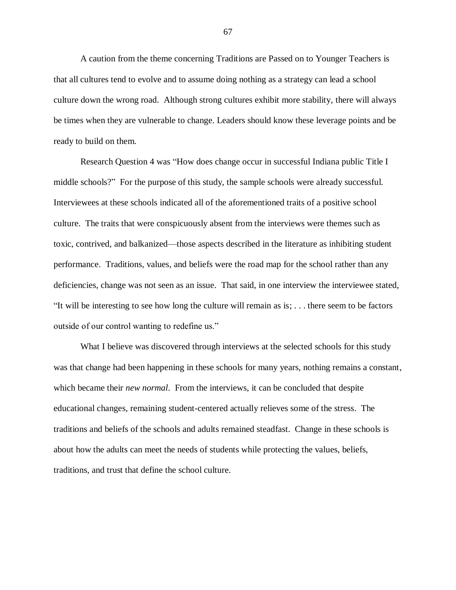A caution from the theme concerning Traditions are Passed on to Younger Teachers is that all cultures tend to evolve and to assume doing nothing as a strategy can lead a school culture down the wrong road. Although strong cultures exhibit more stability, there will always be times when they are vulnerable to change. Leaders should know these leverage points and be ready to build on them.

Research Question 4 was "How does change occur in successful Indiana public Title I middle schools?" For the purpose of this study, the sample schools were already successful. Interviewees at these schools indicated all of the aforementioned traits of a positive school culture. The traits that were conspicuously absent from the interviews were themes such as toxic, contrived, and balkanized—those aspects described in the literature as inhibiting student performance. Traditions, values, and beliefs were the road map for the school rather than any deficiencies, change was not seen as an issue. That said, in one interview the interviewee stated, "It will be interesting to see how long the culture will remain as is; . . . there seem to be factors outside of our control wanting to redefine us."

What I believe was discovered through interviews at the selected schools for this study was that change had been happening in these schools for many years, nothing remains a constant, which became their *new normal*. From the interviews, it can be concluded that despite educational changes, remaining student-centered actually relieves some of the stress. The traditions and beliefs of the schools and adults remained steadfast. Change in these schools is about how the adults can meet the needs of students while protecting the values, beliefs, traditions, and trust that define the school culture.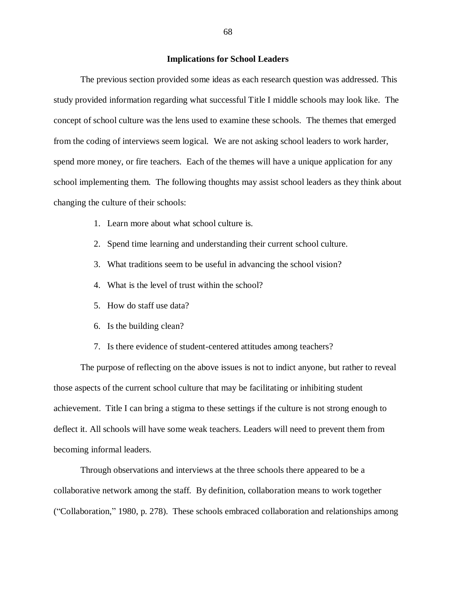## **Implications for School Leaders**

The previous section provided some ideas as each research question was addressed. This study provided information regarding what successful Title I middle schools may look like. The concept of school culture was the lens used to examine these schools. The themes that emerged from the coding of interviews seem logical. We are not asking school leaders to work harder, spend more money, or fire teachers. Each of the themes will have a unique application for any school implementing them. The following thoughts may assist school leaders as they think about changing the culture of their schools:

- 1. Learn more about what school culture is.
- 2. Spend time learning and understanding their current school culture.
- 3. What traditions seem to be useful in advancing the school vision?
- 4. What is the level of trust within the school?
- 5. How do staff use data?
- 6. Is the building clean?
- 7. Is there evidence of student-centered attitudes among teachers?

The purpose of reflecting on the above issues is not to indict anyone, but rather to reveal those aspects of the current school culture that may be facilitating or inhibiting student achievement. Title I can bring a stigma to these settings if the culture is not strong enough to deflect it. All schools will have some weak teachers. Leaders will need to prevent them from becoming informal leaders.

Through observations and interviews at the three schools there appeared to be a collaborative network among the staff. By definition, collaboration means to work together ("Collaboration," 1980, p. 278). These schools embraced collaboration and relationships among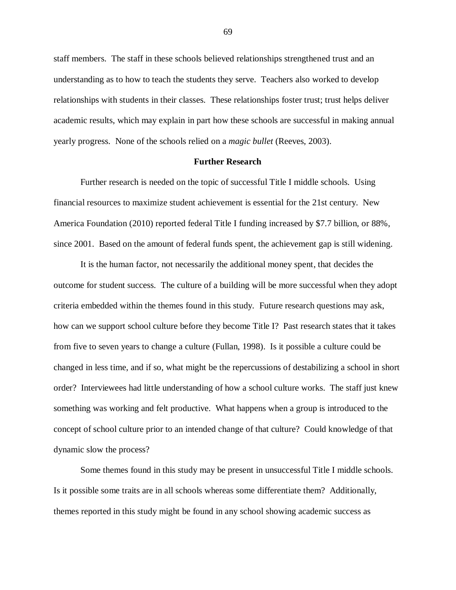staff members. The staff in these schools believed relationships strengthened trust and an understanding as to how to teach the students they serve. Teachers also worked to develop relationships with students in their classes. These relationships foster trust; trust helps deliver academic results, which may explain in part how these schools are successful in making annual yearly progress. None of the schools relied on a *magic bullet* (Reeves, 2003).

### **Further Research**

Further research is needed on the topic of successful Title I middle schools. Using financial resources to maximize student achievement is essential for the 21st century. New America Foundation (2010) reported federal Title I funding increased by \$7.7 billion, or 88%, since 2001. Based on the amount of federal funds spent, the achievement gap is still widening.

It is the human factor, not necessarily the additional money spent, that decides the outcome for student success. The culture of a building will be more successful when they adopt criteria embedded within the themes found in this study. Future research questions may ask, how can we support school culture before they become Title I? Past research states that it takes from five to seven years to change a culture (Fullan, 1998). Is it possible a culture could be changed in less time, and if so, what might be the repercussions of destabilizing a school in short order? Interviewees had little understanding of how a school culture works. The staff just knew something was working and felt productive. What happens when a group is introduced to the concept of school culture prior to an intended change of that culture? Could knowledge of that dynamic slow the process?

Some themes found in this study may be present in unsuccessful Title I middle schools. Is it possible some traits are in all schools whereas some differentiate them? Additionally, themes reported in this study might be found in any school showing academic success as

69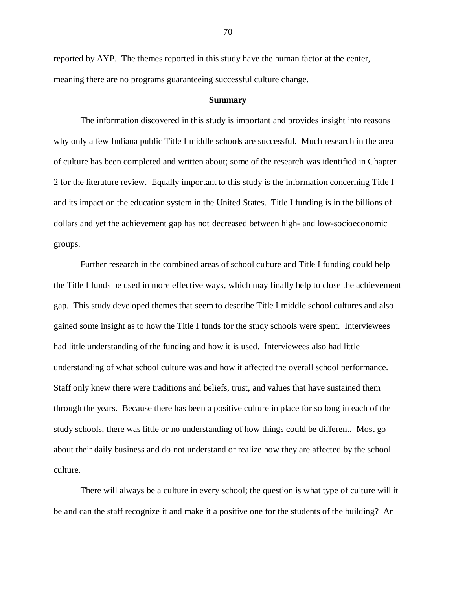reported by AYP. The themes reported in this study have the human factor at the center, meaning there are no programs guaranteeing successful culture change.

#### **Summary**

The information discovered in this study is important and provides insight into reasons why only a few Indiana public Title I middle schools are successful. Much research in the area of culture has been completed and written about; some of the research was identified in Chapter 2 for the literature review. Equally important to this study is the information concerning Title I and its impact on the education system in the United States. Title I funding is in the billions of dollars and yet the achievement gap has not decreased between high- and low-socioeconomic groups.

Further research in the combined areas of school culture and Title I funding could help the Title I funds be used in more effective ways, which may finally help to close the achievement gap. This study developed themes that seem to describe Title I middle school cultures and also gained some insight as to how the Title I funds for the study schools were spent. Interviewees had little understanding of the funding and how it is used. Interviewees also had little understanding of what school culture was and how it affected the overall school performance. Staff only knew there were traditions and beliefs, trust, and values that have sustained them through the years. Because there has been a positive culture in place for so long in each of the study schools, there was little or no understanding of how things could be different. Most go about their daily business and do not understand or realize how they are affected by the school culture.

There will always be a culture in every school; the question is what type of culture will it be and can the staff recognize it and make it a positive one for the students of the building? An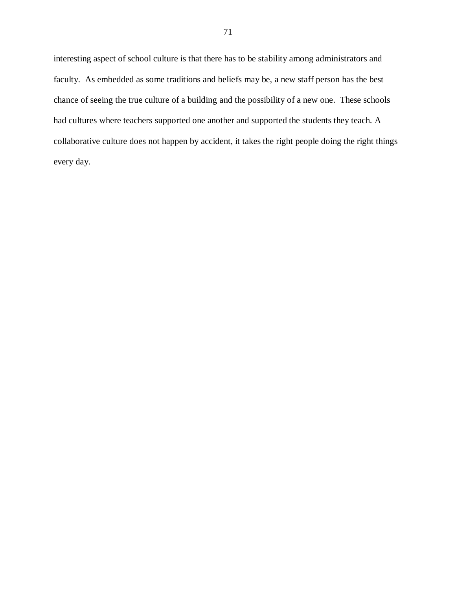interesting aspect of school culture is that there has to be stability among administrators and faculty. As embedded as some traditions and beliefs may be, a new staff person has the best chance of seeing the true culture of a building and the possibility of a new one. These schools had cultures where teachers supported one another and supported the students they teach. A collaborative culture does not happen by accident, it takes the right people doing the right things every day.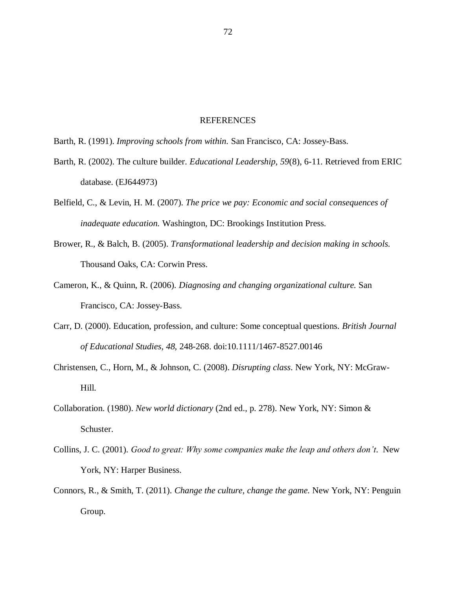### REFERENCES

Barth, R. (1991). *Improving schools from within.* San Francisco, CA: Jossey-Bass.

- Barth, R. (2002). The culture builder. *Educational Leadership, 59*(8), 6-11. Retrieved from ERIC database. (EJ644973)
- Belfield, C., & Levin, H. M. (2007). *The price we pay: Economic and social consequences of inadequate education.* Washington, DC: Brookings Institution Press.
- Brower, R., & Balch, B. (2005). *Transformational leadership and decision making in schools.* Thousand Oaks, CA: Corwin Press.
- Cameron, K., & Quinn, R. (2006). *Diagnosing and changing organizational culture.* San Francisco, CA: Jossey-Bass.
- Carr, D. (2000). Education, profession, and culture: Some conceptual questions. *British Journal of Educational Studies, 48,* 248-268. doi:10.1111/1467-8527.00146
- Christensen, C., Horn, M., & Johnson, C. (2008). *Disrupting class*. New York, NY: McGraw-Hill.
- Collaboration. (1980). *New world dictionary* (2nd ed., p. 278). New York, NY: Simon & Schuster.
- Collins, J. C. (2001). *Good to great: Why some companies make the leap and others don't*. New York, NY: Harper Business.
- Connors, R., & Smith, T. (2011). *Change the culture, change the game.* New York, NY: Penguin Group.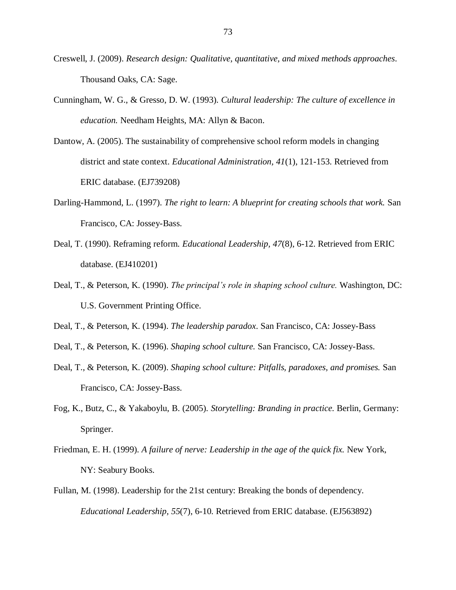- Creswell, J. (2009). *Research design: Qualitative, quantitative, and mixed methods approaches*. Thousand Oaks, CA: Sage.
- Cunningham, W. G., & Gresso, D. W. (1993). *Cultural leadership: The culture of excellence in education.* Needham Heights, MA: Allyn & Bacon.
- Dantow, A. (2005). The sustainability of comprehensive school reform models in changing district and state context. *Educational Administration, 41*(1), 121-153. Retrieved from ERIC database. (EJ739208)
- Darling-Hammond, L. (1997). *The right to learn: A blueprint for creating schools that work.* San Francisco, CA: Jossey-Bass.
- Deal, T. (1990). Reframing reform. *Educational Leadership, 47*(8), 6-12. Retrieved from ERIC database. (EJ410201)
- Deal, T., & Peterson, K. (1990). *The principal's role in shaping school culture.* Washington, DC: U.S. Government Printing Office.
- Deal, T., & Peterson, K. (1994). *The leadership paradox*. San Francisco, CA: Jossey-Bass
- Deal, T., & Peterson, K. (1996). *Shaping school culture.* San Francisco, CA: Jossey-Bass.
- Deal, T., & Peterson, K. (2009). *Shaping school culture: Pitfalls, paradoxes, and promises.* San Francisco, CA: Jossey-Bass.
- Fog, K., Butz, C., & Yakaboylu, B. (2005). *Storytelling: Branding in practice.* Berlin, Germany: Springer.
- Friedman, E. H. (1999). *A failure of nerve: Leadership in the age of the quick fix.* New York, NY: Seabury Books.
- Fullan, M. (1998). Leadership for the 21st century: Breaking the bonds of dependency. *Educational Leadership, 55*(7), 6-10. Retrieved from ERIC database. (EJ563892)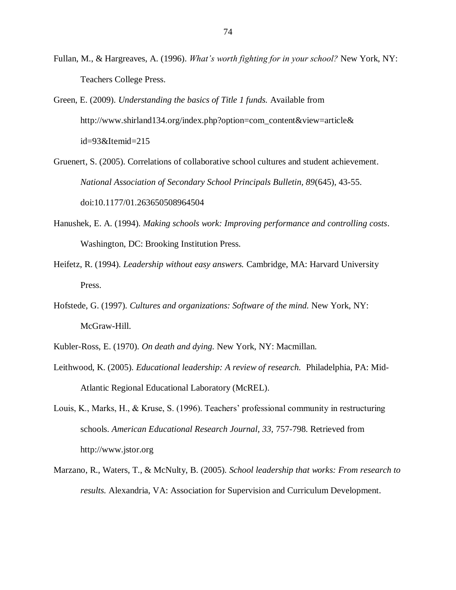- Fullan, M., & Hargreaves, A. (1996). *What's worth fighting for in your school?* New York, NY: Teachers College Press.
- Green, E. (2009). *Understanding the basics of Title 1 funds.* Available from http://www.shirland134.org/index.php?option=com\_content&view=article& id=93&Itemid=215
- Gruenert, S. (2005). Correlations of collaborative school cultures and student achievement. *National Association of Secondary School Principals Bulletin, 89*(645), 43-55. doi:10.1177/01.263650508964504
- Hanushek, E. A. (1994). *Making schools work: Improving performance and controlling costs*. Washington, DC: Brooking Institution Press.
- Heifetz, R. (1994). *Leadership without easy answers.* Cambridge, MA: Harvard University Press.
- Hofstede, G. (1997). *Cultures and organizations: Software of the mind.* New York, NY: McGraw-Hill.
- Kubler-Ross, E. (1970). *On death and dying.* New York, NY: Macmillan.
- Leithwood, K. (2005). *Educational leadership: A review of research.* Philadelphia, PA: Mid-Atlantic Regional Educational Laboratory (McREL).
- Louis, K., Marks, H., & Kruse, S. (1996). Teachers' professional community in restructuring schools. *American Educational Research Journal, 33,* 757-798. Retrieved from http://www.jstor.org
- Marzano, R., Waters, T., & McNulty, B. (2005). *School leadership that works: From research to results.* Alexandria, VA: Association for Supervision and Curriculum Development.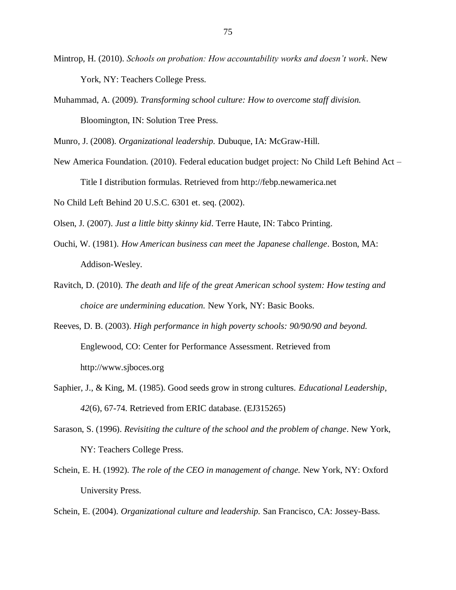- Mintrop, H. (2010). *Schools on probation: How accountability works and doesn't work*. New York, NY: Teachers College Press.
- Muhammad, A. (2009). *Transforming school culture: How to overcome staff division.* Bloomington, IN: Solution Tree Press.

Munro, J. (2008). *Organizational leadership.* Dubuque, IA: McGraw-Hill.

New America Foundation. (2010). Federal education budget project: No Child Left Behind Act – Title I distribution formulas. Retrieved from [http://febp.newamerica.net](http://febp.newamerica.net/)

No Child Left Behind 20 U.S.C. 6301 et. seq. (2002).

Olsen, J. (2007). *Just a little bitty skinny kid*. Terre Haute, IN: Tabco Printing.

- Ouchi, W. (1981). *How American business can meet the Japanese challenge*. Boston, MA: Addison-Wesley.
- Ravitch, D. (2010). *The death and life of the great American school system: How testing and choice are undermining education.* New York, NY: Basic Books.
- Reeves, D. B. (2003). *High performance in high poverty schools: 90/90/90 and beyond.* Englewood, CO: Center for Performance Assessment. Retrieved from [http://www.sjboces.org](http://www.sjboces.org/nisl/high)
- Saphier, J., & King, M. (1985). Good seeds grow in strong cultures. *Educational Leadership*, *42*(6), 67-74. Retrieved from ERIC database. (EJ315265)
- Sarason, S. (1996). *Revisiting the culture of the school and the problem of change*. New York, NY: Teachers College Press.
- Schein, E. H. (1992). *The role of the CEO in management of change.* New York, NY: Oxford University Press.

Schein, E. (2004). *Organizational culture and leadership.* San Francisco, CA: Jossey-Bass.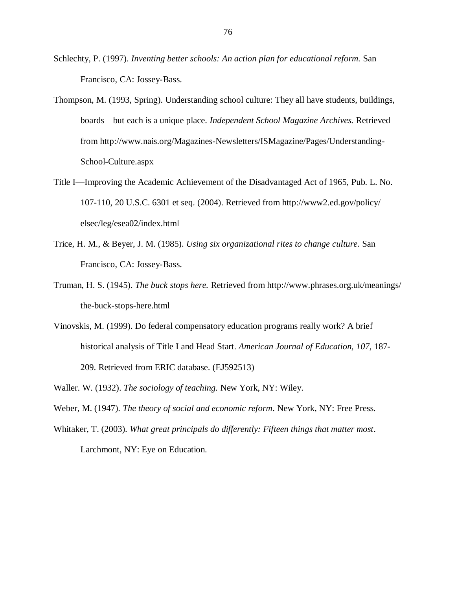Schlechty, P. (1997). *Inventing better schools: An action plan for educational reform.* San Francisco, CA: Jossey-Bass.

- Thompson, M. (1993, Spring). Understanding school culture: They all have students, buildings, boards—but each is a unique place. *Independent School Magazine Archives.* Retrieved from [http://www.nais.org/Magazines-Newsletters/ISMagazine/Pages/Understanding-](http://www.nais.org/Magazines-Newsletters/ISMagazine/Pages/Understanding-School-Culture.aspx)[School-Culture.aspx](http://www.nais.org/Magazines-Newsletters/ISMagazine/Pages/Understanding-School-Culture.aspx)
- Title I—Improving the Academic Achievement of the Disadvantaged Act of 1965, Pub. L. No. 107-110, 20 U.S.C. 6301 et seq. (2004). Retrieved from http://www2.ed.gov/policy/ elsec/leg/esea02/index.html
- Trice, H. M., & Beyer, J. M. (1985). *Using six organizational rites to change culture.* San Francisco, CA: Jossey-Bass.
- Truman, H. S. (1945). *The buck stops here.* Retrieved from http://www.phrases.org.uk/meanings/ the-buck-stops-here.html
- Vinovskis, M. (1999). Do federal compensatory education programs really work? A brief historical analysis of Title I and Head Start. *American Journal of Education, 107*, 187- 209. Retrieved from ERIC database. (EJ592513)
- Waller. W. (1932). *The sociology of teaching.* New York, NY: Wiley.
- Weber, M. (1947). *The theory of social and economic reform*. New York, NY: Free Press.
- Whitaker, T. (2003). *What great principals do differently: Fifteen things that matter most*. Larchmont, NY: Eye on Education.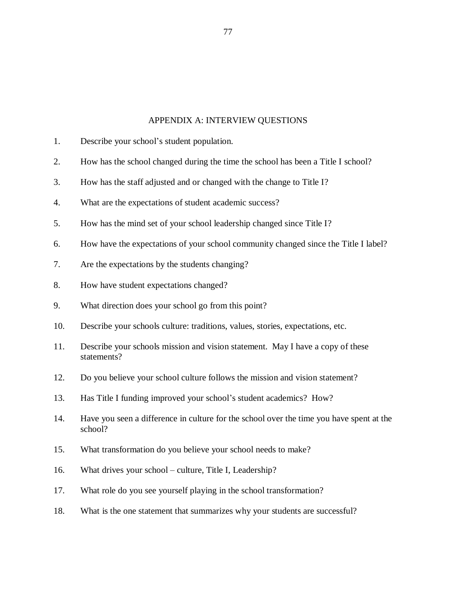## APPENDIX A: INTERVIEW QUESTIONS

- 1. Describe your school's student population.
- 2. How has the school changed during the time the school has been a Title I school?
- 3. How has the staff adjusted and or changed with the change to Title I?
- 4. What are the expectations of student academic success?
- 5. How has the mind set of your school leadership changed since Title I?
- 6. How have the expectations of your school community changed since the Title I label?
- 7. Are the expectations by the students changing?
- 8. How have student expectations changed?
- 9. What direction does your school go from this point?
- 10. Describe your schools culture: traditions, values, stories, expectations, etc.
- 11. Describe your schools mission and vision statement. May I have a copy of these statements?
- 12. Do you believe your school culture follows the mission and vision statement?
- 13. Has Title I funding improved your school's student academics? How?
- 14. Have you seen a difference in culture for the school over the time you have spent at the school?
- 15. What transformation do you believe your school needs to make?
- 16. What drives your school culture, Title I, Leadership?
- 17. What role do you see yourself playing in the school transformation?
- 18. What is the one statement that summarizes why your students are successful?

77